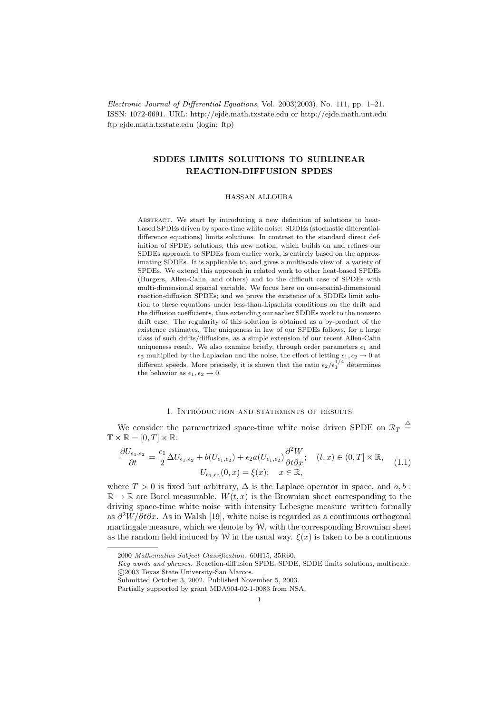Electronic Journal of Differential Equations, Vol. 2003(2003), No. 111, pp. 1–21. ISSN: 1072-6691. URL: http://ejde.math.txstate.edu or http://ejde.math.unt.edu ftp ejde.math.txstate.edu (login: ftp)

# SDDES LIMITS SOLUTIONS TO SUBLINEAR REACTION-DIFFUSION SPDES

#### HASSAN ALLOUBA

ABSTRACT. We start by introducing a new definition of solutions to heatbased SPDEs driven by space-time white noise: SDDEs (stochastic differentialdifference equations) limits solutions. In contrast to the standard direct definition of SPDEs solutions; this new notion, which builds on and refines our SDDEs approach to SPDEs from earlier work, is entirely based on the approximating SDDEs. It is applicable to, and gives a multiscale view of, a variety of SPDEs. We extend this approach in related work to other heat-based SPDEs (Burgers, Allen-Cahn, and others) and to the difficult case of SPDEs with multi-dimensional spacial variable. We focus here on one-spacial-dimensional reaction-diffusion SPDEs; and we prove the existence of a SDDEs limit solution to these equations under less-than-Lipschitz conditions on the drift and the diffusion coefficients, thus extending our earlier SDDEs work to the nonzero drift case. The regularity of this solution is obtained as a by-product of the existence estimates. The uniqueness in law of our SPDEs follows, for a large class of such drifts/diffusions, as a simple extension of our recent Allen-Cahn uniqueness result. We also examine briefly, through order parameters  $\epsilon_1$  and  $\epsilon_2$  multiplied by the Laplacian and the noise, the effect of letting  $\epsilon_1, \epsilon_2 \rightarrow 0$  at different speeds. More precisely, it is shown that the ratio  $\epsilon_2/\epsilon_1^{1/4}$  determines the behavior as  $\epsilon_1, \epsilon_2 \rightarrow 0$ .

# 1. Introduction and statements of results

We consider the parametrized space-time white noise driven SPDE on  $\mathcal{R}_T \triangleq$  $\mathbb{T} \times \mathbb{R} = [0, T] \times \mathbb{R}$ :

$$
\frac{\partial U_{\epsilon_1,\epsilon_2}}{\partial t} = \frac{\epsilon_1}{2} \Delta U_{\epsilon_1,\epsilon_2} + b(U_{\epsilon_1,\epsilon_2}) + \epsilon_2 a(U_{\epsilon_1,\epsilon_2}) \frac{\partial^2 W}{\partial t \partial x}; \quad (t,x) \in (0,T] \times \mathbb{R}, \quad (1.1)
$$

$$
U_{\epsilon_1,\epsilon_2}(0,x) = \xi(x); \quad x \in \mathbb{R},
$$

where  $T > 0$  is fixed but arbitrary,  $\Delta$  is the Laplace operator in space, and a, b:  $\mathbb{R} \to \mathbb{R}$  are Borel measurable.  $W(t, x)$  is the Brownian sheet corresponding to the driving space-time white noise–with intensity Lebesgue measure–written formally as  $\partial^2 W / \partial t \partial x$ . As in Walsh [19], white noise is regarded as a continuous orthogonal martingale measure, which we denote by  $W$ , with the corresponding Brownian sheet as the random field induced by W in the usual way.  $\xi(x)$  is taken to be a continuous

<sup>2000</sup> Mathematics Subject Classification. 60H15, 35R60.

Key words and phrases. Reaction-diffusion SPDE, SDDE, SDDE limits solutions, multiscale. c 2003 Texas State University-San Marcos.

Submitted October 3, 2002. Published November 5, 2003.

Partially supported by grant MDA904-02-1-0083 from NSA.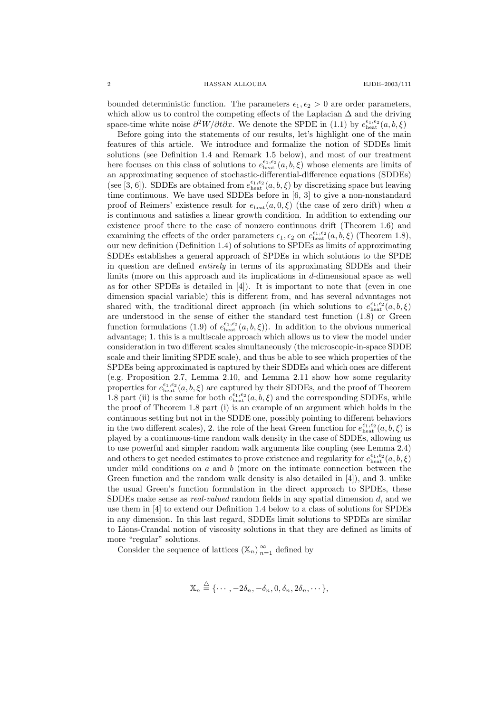bounded deterministic function. The parameters  $\epsilon_1, \epsilon_2 > 0$  are order parameters, which allow us to control the competing effects of the Laplacian  $\Delta$  and the driving space-time white noise  $\partial^2 W/\partial t \partial x$ . We denote the SPDE in (1.1) by  $e_{\text{heat}}^{\epsilon_1,\epsilon_2}(a,b,\xi)$ 

Before going into the statements of our results, let's highlight one of the main features of this article. We introduce and formalize the notion of SDDEs limit solutions (see Definition 1.4 and Remark 1.5 below), and most of our treatment here focuses on this class of solutions to  $e_{\text{heat}}^{\epsilon_1, \epsilon_2}(a, b, \xi)$  whose elements are limits of an approximating sequence of stochastic-differential-difference equations (SDDEs) (see [3, 6]). SDDEs are obtained from  $e_{\text{heat}}^{\epsilon_1,\epsilon_2}(a,b,\xi)$  by discretizing space but leaving time continuous. We have used SDDEs before in [6, 3] to give a non-nonstandard proof of Reimers' existence result for  $e_{\text{heat}}(a, 0, \xi)$  (the case of zero drift) when a is continuous and satisfies a linear growth condition. In addition to extending our existence proof there to the case of nonzero continuous drift (Theorem 1.6) and examining the effects of the order parameters  $\epsilon_1, \epsilon_2$  on  $e_{\text{heat}}^{\epsilon_1, \epsilon_2}(a, b, \xi)$  (Theorem 1.8), our new definition (Definition 1.4) of solutions to SPDEs as limits of approximating SDDEs establishes a general approach of SPDEs in which solutions to the SPDE in question are defined entirely in terms of its approximating SDDEs and their limits (more on this approach and its implications in d-dimensional space as well as for other SPDEs is detailed in [4]). It is important to note that (even in one dimension spacial variable) this is different from, and has several advantages not shared with, the traditional direct approach (in which solutions to  $e_{\text{heat}}^{\epsilon_1,\epsilon_2}(a,b,\xi)$ are understood in the sense of either the standard test function (1.8) or Green function formulations (1.9) of  $e_{\text{heat}}^{\epsilon_1,\epsilon_2}(a,b,\xi)$ ). In addition to the obvious numerical advantage; 1. this is a multiscale approach which allows us to view the model under consideration in two different scales simultaneously (the microscopic-in-space SDDE scale and their limiting SPDE scale), and thus be able to see which properties of the SPDEs being approximated is captured by their SDDEs and which ones are different (e.g. Proposition 2.7, Lemma 2.10, and Lemma 2.11 show how some regularity properties for  $e_{\text{heat}}^{\epsilon_1,\epsilon_2}(a,b,\xi)$  are captured by their SDDEs, and the proof of Theorem 1.8 part (ii) is the same for both  $e_{\text{heat}}^{\epsilon_1,\epsilon_2}(a,b,\xi)$  and the corresponding SDDEs, while the proof of Theorem 1.8 part (i) is an example of an argument which holds in the continuous setting but not in the SDDE one, possibly pointing to different behaviors in the two different scales), 2. the role of the heat Green function for  $e_{\text{heat}}^{\epsilon_1,\epsilon_2}(a,b,\xi)$  is played by a continuous-time random walk density in the case of SDDEs, allowing us to use powerful and simpler random walk arguments like coupling (see Lemma 2.4) and others to get needed estimates to prove existence and regularity for  $e_{\text{heat}}^{\epsilon_1,\epsilon_2}(a,b,\xi)$ under mild conditions on  $a$  and  $b$  (more on the intimate connection between the Green function and the random walk density is also detailed in [4]), and 3. unlike the usual Green's function formulation in the direct approach to SPDEs, these SDDEs make sense as real-valued random fields in any spatial dimension d, and we use them in [4] to extend our Definition 1.4 below to a class of solutions for SPDEs in any dimension. In this last regard, SDDEs limit solutions to SPDEs are similar to Lions-Crandal notion of viscosity solutions in that they are defined as limits of more "regular" solutions.

Consider the sequence of lattices  $(\mathbb{X}_n)_{n=1}^{\infty}$  defined by

$$
\mathbb{X}_n \stackrel{\triangle}{=} \{\cdots, -2\delta_n, -\delta_n, 0, \delta_n, 2\delta_n, \cdots\},\
$$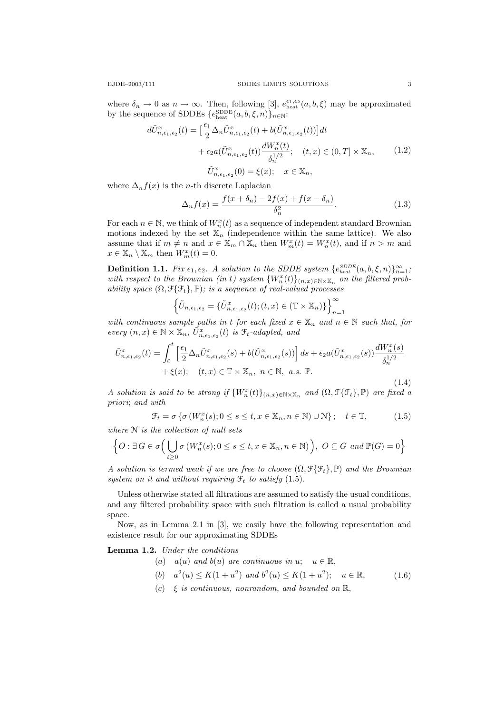where  $\delta_n \to 0$  as  $n \to \infty$ . Then, following [3],  $e_{\text{heat}}^{\epsilon_1, \epsilon_2}(a, b, \xi)$  may be approximated by the sequence of SDDEs  $\{e_{\text{heat}}^{\text{SDEE}}(a, b, \xi, n)\}_{n\in\mathbb{N}}$ :

$$
d\tilde{U}_{n,\epsilon_1,\epsilon_2}^x(t) = \left[\frac{\epsilon_1}{2} \Delta_n \tilde{U}_{n,\epsilon_1,\epsilon_2}^x(t) + b(\tilde{U}_{n,\epsilon_1,\epsilon_2}^x(t))\right] dt + \epsilon_2 a(\tilde{U}_{n,\epsilon_1,\epsilon_2}^x(t)) \frac{dW_n^x(t)}{\delta_n^{1/2}}; \quad (t,x) \in (0,T] \times \mathbb{X}_n, \qquad (1.2)
$$

$$
\tilde{U}_{n,\epsilon_1,\epsilon_2}^x(0) = \xi(x); \quad x \in \mathbb{X}_n,
$$

where  $\Delta_n f(x)$  is the *n*-th discrete Laplacian

$$
\Delta_n f(x) = \frac{f(x + \delta_n) - 2f(x) + f(x - \delta_n)}{\delta_n^2}.
$$
\n(1.3)

For each  $n \in \mathbb{N}$ , we think of  $W_n^x(t)$  as a sequence of independent standard Brownian motions indexed by the set  $\mathbb{X}_n$  (independence within the same lattice). We also assume that if  $m \neq n$  and  $x \in \mathbb{X}_m \cap \mathbb{X}_n$  then  $W_m^x(t) = W_n^x(t)$ , and if  $n > m$  and  $x \in \mathbb{X}_n \setminus \mathbb{X}_m$  then  $W_m^x(t) = 0$ .

**Definition 1.1.** Fix  $\epsilon_1, \epsilon_2$ . A solution to the SDDE system  $\{e_{heat}^{SDEB}(a, b, \xi, n)\}_{n=1}^{\infty}$ ; with respect to the Brownian (in t) system  $\{W_n^x(t)\}_{(n,x)\in\mathbb{N}\times\mathbb{X}_n}$  on the filtered probability space  $(\Omega, \mathcal{F}\{\mathcal{F}_t\}, \mathbb{P})$ ; is a sequence of real-valued processes

$$
\left\{\tilde{U}_{n,\epsilon_1,\epsilon_2} = \{\tilde{U}_{n,\epsilon_1,\epsilon_2}^x(t); (t,x) \in (\mathbb{T} \times \mathbb{X}_n)\}\right\}_{n=1}^{\infty}
$$

with continuous sample paths in t for each fixed  $x \in \mathbb{X}_n$  and  $n \in \mathbb{N}$  such that, for every  $(n, x) \in \mathbb{N} \times \mathbb{X}_n$ ,  $\tilde{U}_{n, \epsilon_1, \epsilon_2}^x(t)$  is  $\mathcal{F}_t$ -adapted, and

$$
\tilde{U}_{n,\epsilon_1,\epsilon_2}^x(t) = \int_0^t \left[ \frac{\epsilon_1}{2} \Delta_n \tilde{U}_{n,\epsilon_1,\epsilon_2}^x(s) + b(\tilde{U}_{n,\epsilon_1,\epsilon_2}^x(s)) \right] ds + \epsilon_2 a(\tilde{U}_{n,\epsilon_1,\epsilon_2}^x(s)) \frac{dW_n^x(s)}{\delta_n^{1/2}} + \xi(x); \quad (t,x) \in \mathbb{T} \times \mathbb{X}_n, \ n \in \mathbb{N}, \ a.s. \ \mathbb{P}.
$$
\n(1.4)

A solution is said to be strong if  $\{W_n^x(t)\}_{(n,x)\in\mathbb{N}\times\mathbb{X}_n}$  and  $(\Omega,\mathcal{F}\{\mathcal{F}_t\},\mathbb{P})$  are fixed a priori; and with

$$
\mathcal{F}_t = \sigma \{ \sigma \left( W_n^x(s); 0 \le s \le t, x \in \mathbb{X}_n, n \in \mathbb{N} \right) \cup \mathcal{N} \}; \quad t \in \mathbb{T}, \tag{1.5}
$$

where N is the collection of null sets

$$
\left\{O: \exists G \in \sigma\Big(\bigcup_{t \geq 0} \sigma\left(W_n^x(s); 0 \leq s \leq t, x \in \mathbb{X}_n, n \in \mathbb{N}\right)\Big), O \subseteq G \text{ and } \mathbb{P}(G) = 0\right\}
$$

A solution is termed weak if we are free to choose  $(\Omega, \mathcal{F}\{\mathcal{F}_t\}, \mathbb{P})$  and the Brownian system on it and without requiring  $\mathcal{F}_t$  to satisfy (1.5).

Unless otherwise stated all filtrations are assumed to satisfy the usual conditions, and any filtered probability space with such filtration is called a usual probability space.

Now, as in Lemma 2.1 in [3], we easily have the following representation and existence result for our approximating SDDEs

Lemma 1.2. Under the conditions

- (a)  $a(u)$  and  $b(u)$  are continuous in  $u; u \in \mathbb{R}$ ,
	- (b)  $a^2(u) \le K(1+u^2)$  and  $b^2(u) \le K(1+u^2)$ ;  $u \in \mathbb{R}$ , (1.6)
	- (c)  $\xi$  is continuous, nonrandom, and bounded on  $\mathbb{R}$ ,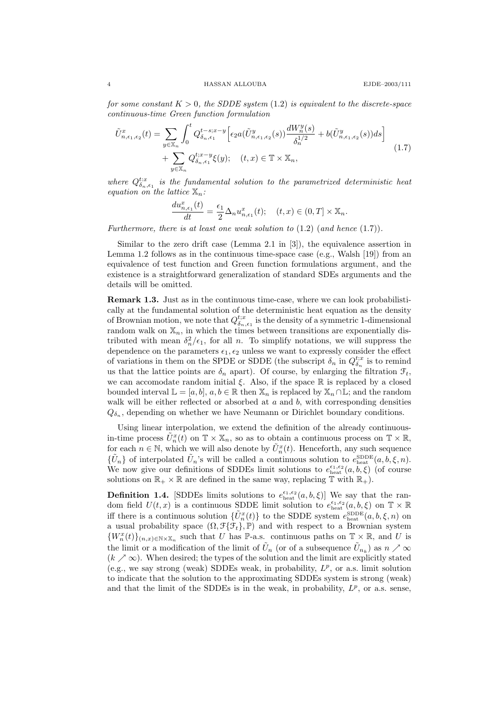for some constant  $K > 0$ , the SDDE system  $(1.2)$  is equivalent to the discrete-space continuous-time Green function formulation

$$
\tilde{U}_{n,\epsilon_{1},\epsilon_{2}}^{x}(t) = \sum_{y \in \mathbb{X}_{n}} \int_{0}^{t} Q_{\delta_{n},\epsilon_{1}}^{t-s;x-y} \Big[ \epsilon_{2} a(\tilde{U}_{n,\epsilon_{1},\epsilon_{2}}^{y}(s)) \frac{dW_{n}^{y}(s)}{\delta_{n}^{1/2}} + b(\tilde{U}_{n,\epsilon_{1},\epsilon_{2}}^{y}(s)) ds \Big] + \sum_{y \in \mathbb{X}_{n}} Q_{\delta_{n},\epsilon_{1}}^{t,x-y} \xi(y); \quad (t,x) \in \mathbb{T} \times \mathbb{X}_{n},
$$
\n(1.7)

where  $Q_{\delta_n,\epsilon_1}^{t:x}$  is the fundamental solution to the parametrized deterministic heat equation on the lattice  $\mathbb{X}_n$ :

$$
\frac{du_{n,\epsilon_1}^x(t)}{dt} = \frac{\epsilon_1}{2} \Delta_n u_{n,\epsilon_1}^x(t); \quad (t,x) \in (0,T] \times \mathbb{X}_n.
$$

Furthermore, there is at least one weak solution to  $(1.2)$   $(and hence (1.7)).$ 

Similar to the zero drift case (Lemma 2.1 in [3]), the equivalence assertion in Lemma 1.2 follows as in the continuous time-space case (e.g., Walsh  $[19]$ ) from an equivalence of test function and Green function formulations argument, and the existence is a straightforward generalization of standard SDEs arguments and the details will be omitted.

Remark 1.3. Just as in the continuous time-case, where we can look probabilistically at the fundamental solution of the deterministic heat equation as the density of Brownian motion, we note that  $Q_{\delta_n,\epsilon_1}^{t;x}$  is the density of a symmetric 1-dimensional random walk on  $\mathbb{X}_n$ , in which the times between transitions are exponentially distributed with mean  $\delta_n^2/\epsilon_1$ , for all n. To simplify notations, we will suppress the dependence on the parameters  $\epsilon_1, \epsilon_2$  unless we want to expressly consider the effect of variations in them on the SPDE or SDDE (the subscript  $\delta_n$  in  $Q_{\delta_n}^{t;x}$  is to remind us that the lattice points are  $\delta_n$  apart). Of course, by enlarging the filtration  $\mathcal{F}_t$ , we can accomodate random initial  $\xi$ . Also, if the space  $\mathbb R$  is replaced by a closed bounded interval  $\mathbb{L} = [a, b], a, b \in \mathbb{R}$  then  $\mathbb{X}_n$  is replaced by  $\mathbb{X}_n \cap \mathbb{L}$ ; and the random walk will be either reflected or absorbed at  $a$  and  $b$ , with corresponding densities  $Q_{\delta_n}$ , depending on whether we have Neumann or Dirichlet boundary conditions.

Using linear interpolation, we extend the definition of the already continuousin-time process  $\tilde{U}_n^x(t)$  on  $\mathbb{T} \times \mathbb{X}_n$ , so as to obtain a continuous process on  $\mathbb{T} \times \mathbb{R}$ , for each  $n \in \mathbb{N}$ , which we will also denote by  $\tilde{U}_n^x(t)$ . Henceforth, any such sequence  $\{\tilde{U}_n\}$  of interpolated  $\tilde{U}_n$ 's will be called a continuous solution to  $e_{\text{heat}}^{\text{SDEE}}(a, b, \xi, n)$ . We now give our definitions of SDDEs limit solutions to  $e_{\text{heat}}^{\epsilon_1,\epsilon_2}(a, b, \xi)$  (of course solutions on  $\mathbb{R}_+ \times \mathbb{R}$  are defined in the same way, replacing  $\mathbb{T}$  with  $\mathbb{R}_+$ ).

**Definition 1.4.** [SDDEs limits solutions to  $e_{\text{heat}}^{\epsilon_1, \epsilon_2}(a, b, \xi)$ ] We say that the random field  $U(t, x)$  is a continuous SDDE limit solution to  $e_{\text{heat}}^{\epsilon_1, \epsilon_2}(a, b, \xi)$  on  $\mathbb{T} \times \mathbb{R}$ iff there is a continuous solution  $\{\tilde{U}_n^x(t)\}$  to the SDDE system  $e_{\text{heat}}^{\text{SDEE}}(a, b, \xi, n)$  on a usual probability space  $(\Omega, \mathcal{F}\{\mathcal{F}_t\}, \mathbb{P})$  and with respect to a Brownian system  ${W_n^x(t)}_{(n,x)\in\mathbb{N}\times\mathbb{X}_n}$  such that U has P-a.s. continuous paths on  $\mathbb{T}\times\mathbb{R}$ , and U is the limit or a modification of the limit of  $\tilde{U}_n$  (or of a subsequence  $\tilde{U}_{n_k}$ ) as  $n \nearrow \infty$  $(k \nearrow \infty)$ . When desired; the types of the solution and the limit are explicitly stated (e.g., we say strong (weak) SDDEs weak, in probability,  $L^p$ , or a.s. limit solution to indicate that the solution to the approximating SDDEs system is strong (weak) and that the limit of the SDDEs is in the weak, in probability,  $L^p$ , or a.s. sense,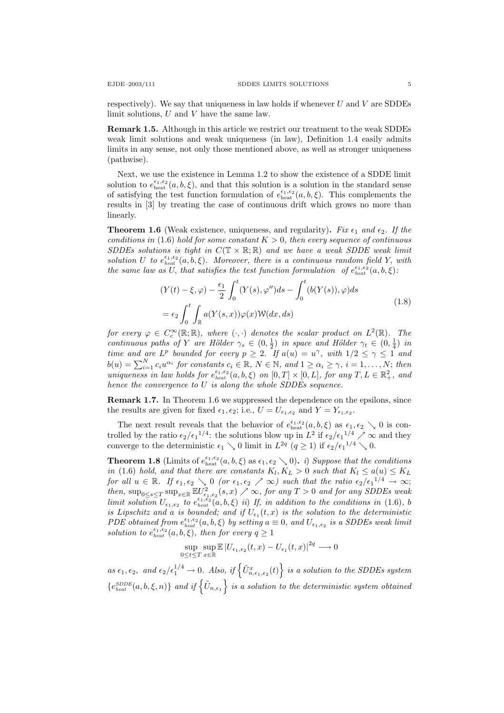respectively). We say that uniqueness in law holds if whenever  $U$  and  $V$  are SDDEs limit solutions, U and V have the same law.

Remark 1.5. Although in this article we restrict our treatment to the weak SDDEs weak limit solutions and weak uniqueness (in law), Definition 1.4 easily admits limits in any sense, not only those mentioned above, as well as stronger uniqueness (pathwise).

Next, we use the existence in Lemma 1.2 to show the existence of a SDDE limit solution to  $e_{\text{heat}}^{\epsilon_1,\epsilon_2}(a,b,\xi)$ , and that this solution is a solution in the standard sense of satisfying the test function formulation of  $e_{\text{heat}}^{\epsilon_1,\epsilon_2}(a,b,\xi)$ . This complements the results in [3] by treating the case of continuous drift which grows no more than linearly.

**Theorem 1.6** (Weak existence, uniqueness, and regularity). Fix  $\epsilon_1$  and  $\epsilon_2$ . If the conditions in (1.6) hold for some constant  $K > 0$ , then every sequence of continuous SDDEs solutions is tight in  $C(\mathbb{T} \times \mathbb{R}; \mathbb{R})$  and we have a weak SDDE weak limit solution U to  $e_{heat}^{\epsilon_1,\epsilon_2}(a,b,\xi)$ . Moreover, there is a continuous random field Y, with the same law as U, that satisfies the test function formulation of  $e_{heat}^{\epsilon_1,\epsilon_2}(a,b,\xi)$ :

$$
(Y(t) - \xi, \varphi) - \frac{\epsilon_1}{2} \int_0^t (Y(s), \varphi'') ds - \int_0^t (b(Y(s)), \varphi) ds
$$
  

$$
= \epsilon_2 \int_0^t \int_{\mathbb{R}} a(Y(s, x)) \varphi(x) \mathcal{W}(dx, ds)
$$
 (1.8)

for every  $\varphi \in C_c^{\infty}(\mathbb{R}; \mathbb{R})$ , where  $( \cdot, \cdot )$  denotes the scalar product on  $L^2(\mathbb{R})$ . The continuous paths of Y are Hölder  $\gamma_s \in (0, \frac{1}{2})$  in space and Hölder  $\gamma_t \in (0, \frac{1}{4})$  in time and are  $L^p$  bounded for every  $p \geq 2$ . If  $a(u) = u^{\gamma}$ , with  $1/2 \leq \gamma \leq 1$  and  $b(u) = \sum_{i=1}^{N} c_i u^{\alpha_i}$  for constants  $c_i \in \mathbb{R}$ ,  $N \in \mathbb{N}$ , and  $1 \geq \alpha_i \geq \gamma$ ,  $i = 1, \ldots, N$ ; then uniqueness in law holds for  $e_{heat}^{\epsilon_1,\epsilon_2}(a,b,\xi)$  on  $[0,T] \times [0,L]$ , for any  $T, L \in \mathbb{R}_+^2$ , and hence the convergence to  $U$  is along the whole SDDEs sequence.

Remark 1.7. In Theorem 1.6 we suppressed the dependence on the epsilons, since the results are given for fixed  $\epsilon_1, \epsilon_2$ ; i.e.,  $U = U_{\epsilon_1, \epsilon_2}$  and  $Y = Y_{\epsilon_1, \epsilon_2}$ .

The next result reveals that the behavior of  $e_{\text{heat}}^{\epsilon_1,\epsilon_2}(a,b,\xi)$  as  $\epsilon_1,\epsilon_2 \searrow 0$  is controlled by the ratio  $\epsilon_2/\epsilon_1^{1/4}$ : the solutions blow up in  $L^2$  if  $\epsilon_2/\epsilon_1^{1/4} \nearrow \infty$  and they converge to the deterministic  $\epsilon_1 \searrow 0$  limit in  $L^{2q}$   $(q \ge 1)$  if  $\epsilon_2/\epsilon_1^{1/4} \searrow 0$ .

**Theorem 1.8** (Limits of  $e_{\text{heat}}^{\epsilon_1,\epsilon_2}(a,b,\xi)$  as  $\epsilon_1,\epsilon_2 \searrow 0$ ). i) Suppose that the conditions in (1.6) hold, and that there are constants  $K_l, K_L > 0$  such that  $K_l \le a(u) \le K_L$ for all  $u \in \mathbb{R}$ . If  $\epsilon_1, \epsilon_2 \searrow 0$  (or  $\epsilon_1, \epsilon_2 \nearrow \infty$ ) such that the ratio  $\epsilon_2/\epsilon_1^{1/4} \rightarrow \infty$ ; then,  $\sup_{0\leq s\leq T} \sup_{x\in\mathbb{R}} \mathbb{E} U^2_{\epsilon_1,\epsilon_2}(s,x) \nearrow \infty$ , for any  $T > 0$  and for any SDDEs weak limit solution  $U_{\epsilon_1,\epsilon_2}$  to  $e_{heat}^{\epsilon_1,\epsilon_2}(a,b,\xi)$  ii) If, in addition to the conditions in (1.6), b is Lipschitz and a is bounded; and if  $U_{\epsilon_1}(t,x)$  is the solution to the deterministic PDE obtained from  $e_{heat}^{\epsilon_1,\epsilon_2}(a,b,\xi)$  by setting  $a \equiv 0$ , and  $U_{\epsilon_1,\epsilon_2}$  is a SDDEs weak limit solution to  $e_{heat}^{\epsilon_1,\epsilon_2}(a,b,\xi)$ , then for every  $q \geq 1$ 

$$
\sup_{0\leq t\leq T}\sup_{x\in\mathbb{R}}\mathbb{E}\left|U_{\epsilon_{1},\epsilon_{2}}(t,x)-U_{\epsilon_{1}}(t,x)\right|^{2q}\longrightarrow0
$$

as  $\epsilon_1, \epsilon_2$ , and  $\epsilon_2/\epsilon_1^{1/4} \to 0$ . Also, if  $\left\{ \tilde{U}_{n,\epsilon_1,\epsilon_2}^x(t) \right\}$  is a solution to the SDDEs system  ${e_{heat}^{SDDE}(a, b, \xi, n)}$  and if  $\{ \tilde{U}_{n, \epsilon_1} \}$  is a solution to the deterministic system obtained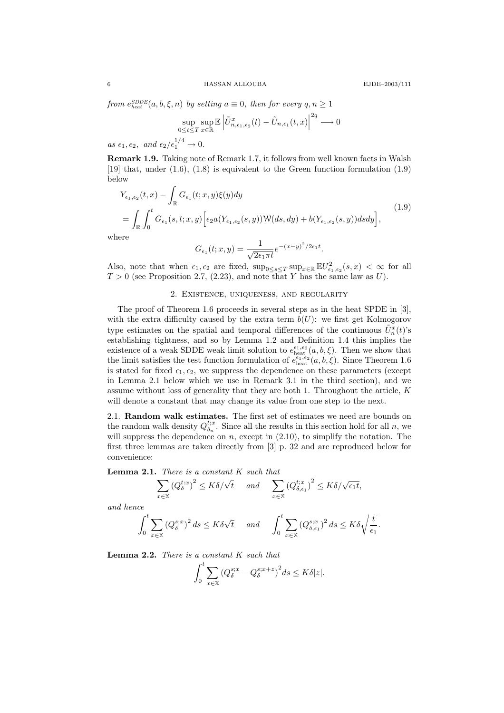from  $e_{heat}^{SDDE}(a, b, \xi, n)$  by setting  $a \equiv 0$ , then for every  $q, n \ge 1$ 

$$
\sup_{0\leq t\leq T}\sup_{x\in\mathbb{R}}\mathbb{E}\left|\tilde{U}_{n,\epsilon_1,\epsilon_2}^x(t)-\tilde{U}_{n,\epsilon_1}(t,x)\right|^{2q}\longrightarrow 0
$$

as  $\epsilon_1, \epsilon_2, \text{ and } \epsilon_2/\epsilon_1^{1/4} \to 0.$ 

Remark 1.9. Taking note of Remark 1.7, it follows from well known facts in Walsh [19] that, under (1.6), (1.8) is equivalent to the Green function formulation (1.9) below

$$
Y_{\epsilon_1,\epsilon_2}(t,x) - \int_{\mathbb{R}} G_{\epsilon_1}(t;x,y)\xi(y)dy
$$
  
= 
$$
\int_{\mathbb{R}} \int_0^t G_{\epsilon_1}(s,t;x,y) \Big[ \epsilon_2 a(Y_{\epsilon_1,\epsilon_2}(s,y)) \mathcal{W}(ds,dy) + b(Y_{\epsilon_1,\epsilon_2}(s,y)) ds dy \Big],
$$
 (1.9)

where

$$
G_{\epsilon_1}(t;x,y) = \frac{1}{\sqrt{2\epsilon_1\pi t}}e^{-(x-y)^2/2\epsilon_1t}.
$$

Also, note that when  $\epsilon_1, \epsilon_2$  are fixed,  $\sup_{0 \le s \le T} \sup_{x \in \mathbb{R}} \mathbb{E} U_{\epsilon_1, \epsilon_2}^2(s, x) < \infty$  for all  $T > 0$  (see Proposition 2.7, (2.23), and note that Y has the same law as U).

## 2. Existence, uniqueness, and regularity

The proof of Theorem 1.6 proceeds in several steps as in the heat SPDE in [3], with the extra difficulty caused by the extra term  $b(U)$ : we first get Kolmogorov type estimates on the spatial and temporal differences of the continuous  $\tilde{U}_n^x(t)$ 's establishing tightness, and so by Lemma 1.2 and Definition 1.4 this implies the existence of a weak SDDE weak limit solution to  $e_{\text{heat}}^{\epsilon_1,\epsilon_2}(a,b,\xi)$ . Then we show that the limit satisfies the test function formulation of  $e_{\text{heat}}^{\epsilon_1,\epsilon_2}(a,b,\xi)$ . Since Theorem 1.6 is stated for fixed  $\epsilon_1, \epsilon_2$ , we suppress the dependence on these parameters (except in Lemma 2.1 below which we use in Remark 3.1 in the third section), and we assume without loss of generality that they are both 1. Throughout the article, K will denote a constant that may change its value from one step to the next.

2.1. Random walk estimates. The first set of estimates we need are bounds on the random walk density  $Q_{\delta_n}^{t;x}$ . Since all the results in this section hold for all n, we will suppress the dependence on  $n$ , except in  $(2.10)$ , to simplify the notation. The first three lemmas are taken directly from [3] p. 32 and are reproduced below for convenience:

**Lemma 2.1.** There is a constant  $K$  such that

$$
\sum_{x \in \mathbb{X}} (Q_{\delta}^{t:x})^2 \le K\delta/\sqrt{t} \quad \text{and} \quad \sum_{x \in \mathbb{X}} (Q_{\delta,\epsilon_1}^{t:x})^2 \le K\delta/\sqrt{\epsilon_1 t},
$$

and hence

$$
\int_0^t \sum_{x \in \mathbb{X}} (Q_\delta^{s;x})^2 ds \le K \delta \sqrt{t} \quad \text{and} \quad \int_0^t \sum_{x \in \mathbb{X}} (Q_{\delta,\epsilon_1}^{s;x})^2 ds \le K \delta \sqrt{\frac{t}{\epsilon_1}}.
$$

**Lemma 2.2.** There is a constant  $K$  such that

$$
\int_0^t \sum_{x \in \mathbb{X}} \left( Q_\delta^{s;x} - Q_\delta^{s;x+z} \right)^2 ds \le K \delta |z|.
$$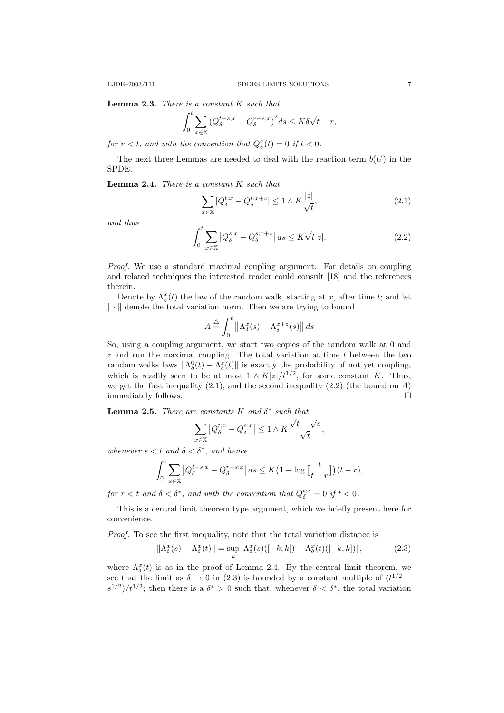**Lemma 2.3.** There is a constant  $K$  such that

$$
\int_0^t \sum_{x \in \mathbb{X}} \left( Q_\delta^{t-s,x} - Q_\delta^{r-s,x} \right)^2 ds \le K \delta \sqrt{t-r},
$$

for  $r < t$ , and with the convention that  $Q_{\delta}^{x}(t) = 0$  if  $t < 0$ .

The next three Lemmas are needed to deal with the reaction term  $b(U)$  in the SPDE.

**Lemma 2.4.** There is a constant  $K$  such that

$$
\sum_{x \in \mathbb{X}} |Q_{\delta}^{t;x} - Q_{\delta}^{t:x+z}| \le 1 \wedge K \frac{|z|}{\sqrt{t}},\tag{2.1}
$$

and thus

$$
\int_0^t \sum_{x \in \mathbb{X}} \left| Q_\delta^{s;x} - Q_\delta^{s;x+z} \right| ds \le K \sqrt{t} |z|.
$$
 (2.2)

Proof. We use a standard maximal coupling argument. For details on coupling and related techniques the interested reader could consult [18] and the references therein.

Denote by  $\Lambda_{\delta}^x(t)$  the law of the random walk, starting at x, after time t; and let  $\|\cdot\|$  denote the total variation norm. Then we are trying to bound

$$
A \stackrel{\triangle}{=} \int_0^t \left\| \Lambda_\delta^x(s) - \Lambda_\delta^{x+z}(s) \right\| ds
$$

So, using a coupling argument, we start two copies of the random walk at 0 and  $z$  and run the maximal coupling. The total variation at time  $t$  between the two random walks laws  $\|\Lambda_{\delta}^0(t) - \Lambda_{\delta}^z(t)\|$  is exactly the probability of not yet coupling, which is readily seen to be at most  $1 \wedge K|z|/t^{1/2}$ , for some constant K. Thus, we get the first inequality  $(2.1)$ , and the second inequality  $(2.2)$  (the bound on A) immediately follows.

**Lemma 2.5.** There are constants K and  $\delta^*$  such that

$$
\sum_{x \in \mathbb{X}} |Q_{\delta}^{t;x} - Q_{\delta}^{s;x}| \le 1 \wedge K \frac{\sqrt{t} - \sqrt{s}}{\sqrt{t}},
$$

whenever  $s < t$  and  $\delta < \delta^*$ , and hence

$$
\int_0^t \sum_{x \in \mathbb{X}} \left| Q_\delta^{t-s;x} - Q_\delta^{r-s;x} \right| ds \le K \left( 1 + \log \left[ \frac{t}{t-r} \right] \right) (t-r),
$$

for  $r < t$  and  $\delta < \delta^*$ , and with the convention that  $Q_{\delta}^{t;x} = 0$  if  $t < 0$ .

This is a central limit theorem type argument, which we briefly present here for convenience.

Proof. To see the first inequality, note that the total variation distance is

$$
\|\Lambda^x_{\delta}(s) - \Lambda^x_{\delta}(t)\| = \sup_{k} |\Lambda^x_{\delta}(s)([-k,k]) - \Lambda^x_{\delta}(t)([-k,k])|,
$$
\n(2.3)

where  $\Lambda_{\delta}^{x}(t)$  is as in the proof of Lemma 2.4. By the central limit theorem, we see that the limit as  $\delta \to 0$  in (2.3) is bounded by a constant multiple of  $(t^{1/2}$  $s^{1/2}$ / $t^{1/2}$ ; then there is a  $\delta^* > 0$  such that, whenever  $\delta < \delta^*$ , the total variation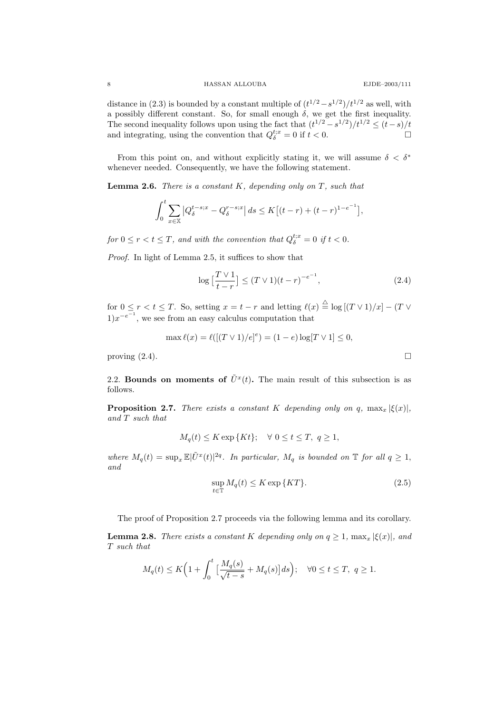#### 8 HASSAN ALLOUBA EJDE–2003/111

distance in (2.3) is bounded by a constant multiple of  $(t^{1/2}-s^{1/2})/t^{1/2}$  as well, with a possibly different constant. So, for small enough  $\delta$ , we get the first inequality. The second inequality follows upon using the fact that  $(t^{1/2} - s^{1/2})/t^{1/2} \le (t - s)/t$ and integrating, using the convention that  $Q_{\delta}^{t;x} = 0$  if  $t < 0$ .

From this point on, and without explicitly stating it, we will assume  $\delta < \delta^*$ whenever needed. Consequently, we have the following statement.

**Lemma 2.6.** There is a constant  $K$ , depending only on  $T$ , such that

$$
\int_0^t \sum_{x \in \mathbb{X}} \left| Q_\delta^{t-s;x} - Q_\delta^{r-s;x} \right| ds \le K \left[ (t-r) + (t-r)^{1-e^{-1}} \right],
$$

for  $0 \le r < t \le T$ , and with the convention that  $Q_{\delta}^{t;x} = 0$  if  $t < 0$ .

Proof. In light of Lemma 2.5, it suffices to show that

$$
\log\left[\frac{T\vee 1}{t-r}\right] \le (T\vee 1)(t-r)^{-e^{-1}},\tag{2.4}
$$

for  $0 \le r < t \le T$ . So, setting  $x = t - r$  and letting  $\ell(x) \stackrel{\triangle}{=} \log [(T \vee 1)/x] - (T \vee$  $1)x^{-e^{-1}}$ , we see from an easy calculus computation that

$$
\max \ell(x) = \ell([(T \vee 1)/e]^e) = (1 - e) \log[T \vee 1] \le 0,
$$

proving  $(2.4)$ .

2.2. Bounds on moments of  $\tilde{U}^x(t)$ . The main result of this subsection is as follows.

**Proposition 2.7.** There exists a constant K depending only on q,  $\max_x |\xi(x)|$ , and T such that

$$
M_q(t) \le K \exp\{Kt\}; \quad \forall \ 0 \le t \le T, \ q \ge 1,
$$

where  $M_q(t) = \sup_x \mathbb{E}|\tilde{U}^x(t)|^{2q}$ . In particular,  $M_q$  is bounded on  $\mathbb{T}$  for all  $q \geq 1$ , and

$$
\sup_{t \in \mathbb{T}} M_q(t) \le K \exp\{KT\}.
$$
\n(2.5)

The proof of Proposition 2.7 proceeds via the following lemma and its corollary.

**Lemma 2.8.** There exists a constant K depending only on  $q \geq 1$ ,  $\max_x |\xi(x)|$ , and T such that

$$
M_q(t) \le K\Big(1 + \int_0^t \big[\frac{M_q(s)}{\sqrt{t-s}} + M_q(s)\big]ds\Big); \quad \forall 0 \le t \le T, \ q \ge 1.
$$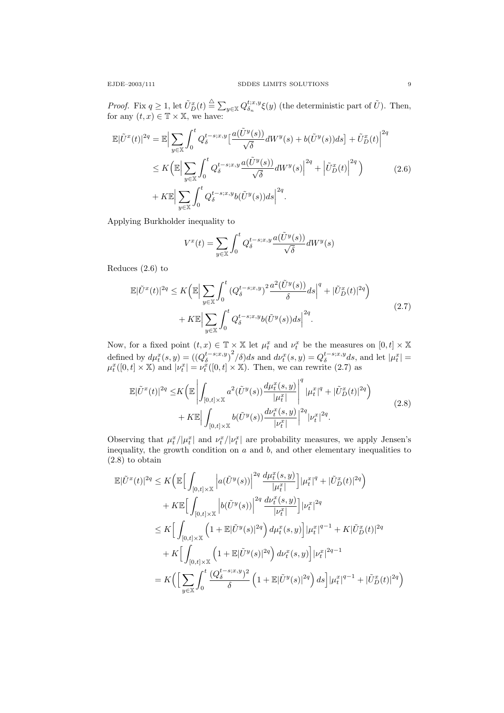*Proof.* Fix  $q \ge 1$ , let  $\tilde{U}_{D}^{x}(t) \triangleq \sum_{y \in \mathbb{X}} Q_{\delta_n}^{t;x,y} \xi(y)$  (the deterministic part of  $\tilde{U}$ ). Then, for any  $(t, x) \in \mathbb{T} \times \mathbb{X}$ , we have:

$$
\mathbb{E}|\tilde{U}^{x}(t)|^{2q} = \mathbb{E}\Big|\sum_{y\in\mathbb{X}}\int_{0}^{t}Q_{\delta}^{t-s;x,y}\Big[\frac{a(\tilde{U}^{y}(s))}{\sqrt{\delta}}dW^{y}(s) + b(\tilde{U}^{y}(s))ds\Big] + \tilde{U}_{D}^{x}(t)\Big|^{2q}
$$
  

$$
\leq K\Big(\mathbb{E}\Big|\sum_{y\in\mathbb{X}}\int_{0}^{t}Q_{\delta}^{t-s;x,y}\frac{a(\tilde{U}^{y}(s))}{\sqrt{\delta}}dW^{y}(s)\Big|^{2q} + \Big|\tilde{U}_{D}^{x}(t)\Big|^{2q}\Big) \qquad (2.6)
$$
  

$$
+ K\mathbb{E}\Big|\sum_{y\in\mathbb{X}}\int_{0}^{t}Q_{\delta}^{t-s;x,y}b(\tilde{U}^{y}(s))ds\Big|^{2q}.
$$

Applying Burkholder inequality to

$$
V^{x}(t) = \sum_{y \in \mathbb{X}} \int_{0}^{t} Q_{\delta}^{t-s;x,y} \frac{a(\tilde{U}^{y}(s))}{\sqrt{\delta}} dW^{y}(s)
$$

Reduces (2.6) to

$$
\mathbb{E}|\tilde{U}^{x}(t)|^{2q} \leq K \left(\mathbb{E} \Big| \sum_{y \in \mathbb{X}} \int_{0}^{t} \left(Q_{\delta}^{t-s;x,y}\right)^{2} \frac{a^{2}(\tilde{U}^{y}(s))}{\delta} ds \Big|^{q} + |\tilde{U}_{D}^{x}(t)|^{2q} \right) + K \mathbb{E} \Big| \sum_{y \in \mathbb{X}} \int_{0}^{t} Q_{\delta}^{t-s;x,y} b(\tilde{U}^{y}(s)) ds \Big|^{2q}.
$$
\n(2.7)

Now, for a fixed point  $(t, x) \in \mathbb{T} \times \mathbb{X}$  let  $\mu_t^x$  and  $\nu_t^x$  be the measures on  $[0, t] \times \mathbb{X}$ defined by  $d\mu_t^x(s, y) = \left( \left( Q_\delta^{t-s;x,y} \right)^2 / \delta \right) ds$  and  $d\nu_t^x(s, y) = Q_\delta^{t-s;x,y} ds$ , and let  $|\mu_t^x|$  =  $\mu_t^x([0,t] \times \mathbb{X})$  and  $|\nu_t^x| = \nu_t^x([0,t] \times \mathbb{X})$ . Then, we can rewrite (2.7) as

$$
\mathbb{E}|\tilde{U}^{x}(t)|^{2q} \leq K \left(\mathbb{E} \left| \int_{[0,t] \times \mathbb{X}} a^{2}(\tilde{U}^{y}(s)) \frac{d\mu_{t}^{x}(s,y)}{|\mu_{t}^{x}|} \right|^{q} |\mu_{t}^{x}|^{q} + |\tilde{U}_{D}^{x}(t)|^{2q} \right) + K \mathbb{E} \left| \int_{[0,t] \times \mathbb{X}} b(\tilde{U}^{y}(s)) \frac{d\nu_{t}^{x}(s,y)}{|\nu_{t}^{x}|} \right|^{2q} |\nu_{t}^{x}|^{2q}.
$$
\n(2.8)

Observing that  $\mu_t^x/|\mu_t^x|$  and  $\nu_t^x/|\nu_t^x|$  are probability measures, we apply Jensen's inequality, the growth condition on  $a$  and  $b$ , and other elementary inequalities to (2.8) to obtain

$$
\mathbb{E}|\tilde{U}^{x}(t)|^{2q} \leq K \Big( \mathbb{E} \Big[ \int_{[0,t] \times \mathbb{X}} \Big| a(\tilde{U}^{y}(s)) \Big|^{2q} \frac{d\mu_{t}^{x}(s,y)}{|\mu_{t}^{x}|} \Big] |\mu_{t}^{x}|^{q} + |\tilde{U}_{D}^{x}(t)|^{2q} \Big) \n+ K \mathbb{E} \Big[ \int_{[0,t] \times \mathbb{X}} \Big| b(\tilde{U}^{y}(s)) \Big|^{2q} \frac{d\nu_{t}^{x}(s,y)}{|\nu_{t}^{x}|} \Big| |\nu_{t}^{x}|^{2q} \n\leq K \Big[ \int_{[0,t] \times \mathbb{X}} \Big( 1 + \mathbb{E}|\tilde{U}^{y}(s)|^{2q} \Big) d\mu_{t}^{x}(s,y) \Big] |\mu_{t}^{x}|^{q-1} + K |\tilde{U}_{D}^{x}(t)|^{2q} \n+ K \Big[ \int_{[0,t] \times \mathbb{X}} \Big( 1 + \mathbb{E}|\tilde{U}^{y}(s)|^{2q} \Big) d\nu_{t}^{x}(s,y) \Big] |\nu_{t}^{x}|^{2q-1} \n= K \Big( \Big[ \sum_{y \in \mathbb{X}} \int_{0}^{t} \frac{(Q_{\delta}^{t-s;x,y})^{2}}{\delta} \Big( 1 + \mathbb{E}|\tilde{U}^{y}(s)|^{2q} \Big) ds \Big] |\mu_{t}^{x}|^{q-1} + |\tilde{U}_{D}^{x}(t)|^{2q} \Big)
$$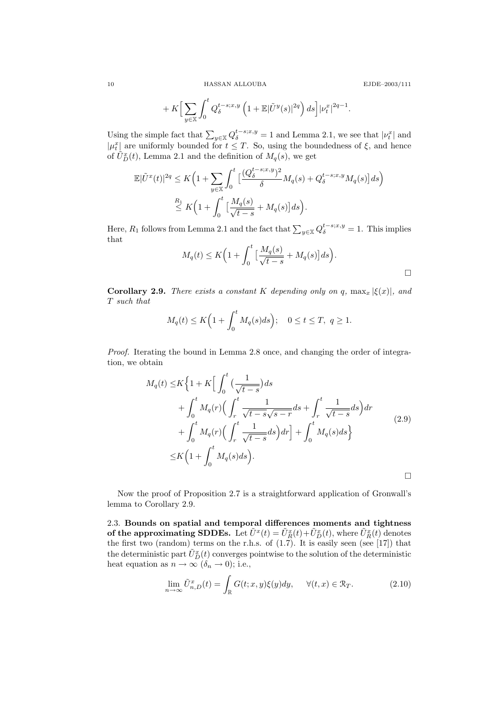10 HASSAN ALLOUBA

$$
E\mathrm{JDE}\text{--}2003/111
$$

$$
+ K \Big[ \sum_{y \in \mathbb{X}} \int_0^t Q_\delta^{t-s;x,y} \left( 1 + \mathbb{E} |\tilde{U}^y(s)|^{2q} \right) ds \Big] |\nu_t^x|^{2q-1}.
$$

Using the simple fact that  $\sum_{y \in \mathbb{X}} Q_{\delta}^{t-s;x,y} = 1$  and Lemma 2.1, we see that  $|\nu_t^x|$  and  $|\mu_t^x|$  are uniformly bounded for  $t \leq T$ . So, using the boundedness of  $\xi$ , and hence of  $\tilde{U}_{D}^{x}(t)$ , Lemma 2.1 and the definition of  $M_{q}(s)$ , we get

$$
\mathbb{E}|\tilde{U}^{x}(t)|^{2q} \leq K\Big(1+\sum_{y\in\mathbb{X}}\int_{0}^{t}\Big[\frac{(Q_{\delta}^{t-s;x,y})^{2}}{\delta}M_{q}(s)+Q_{\delta}^{t-s;x,y}M_{q}(s)\Big]ds\Big)
$$
  

$$
\stackrel{R_{1}}{\leq} K\Big(1+\int_{0}^{t}\Big[\frac{M_{q}(s)}{\sqrt{t-s}}+M_{q}(s)\Big]ds\Big).
$$

Here,  $R_1$  follows from Lemma 2.1 and the fact that  $\sum_{y \in \mathbb{X}} Q_{\delta}^{t-s;x,y} = 1$ . This implies that

$$
M_q(t) \le K\Big(1 + \int_0^t \Big[\frac{M_q(s)}{\sqrt{t-s}} + M_q(s)\Big]ds\Big).
$$

Corollary 2.9. There exists a constant K depending only on q,  $\max_x |\xi(x)|$ , and T such that

$$
M_q(t) \le K\Big(1 + \int_0^t M_q(s)ds\Big); \quad 0 \le t \le T, \ q \ge 1.
$$

Proof. Iterating the bound in Lemma 2.8 once, and changing the order of integration, we obtain

$$
M_q(t) \le K \left\{ 1 + K \Big[ \int_0^t \left( \frac{1}{\sqrt{t-s}} \right) ds \Big] + \int_0^t M_q(r) \Big( \int_r^t \frac{1}{\sqrt{t-s}\sqrt{s-r}} ds + \int_r^t \frac{1}{\sqrt{t-s}} ds \Big) dr + \int_0^t M_q(r) \Big( \int_r^t \frac{1}{\sqrt{t-s}} ds \Big) dr \Big] + \int_0^t M_q(s) ds \right\}
$$
  
\n
$$
\le K \Big( 1 + \int_0^t M_q(s) ds \Big).
$$

Now the proof of Proposition 2.7 is a straightforward application of Gronwall's lemma to Corollary 2.9.

2.3. Bounds on spatial and temporal differences moments and tightness of the approximating SDDEs. Let  $\tilde{U}^x(t) = \tilde{U}_R^x(t) + \tilde{U}_D^x(t)$ , where  $\tilde{U}_R^x(t)$  denotes the first two (random) terms on the r.h.s. of  $(1.7)$ . It is easily seen (see [17]) that the deterministic part  $\tilde{U}_D^x(t)$  converges pointwise to the solution of the deterministic heat equation as  $n \to \infty$  ( $\delta_n \to 0$ ); i.e.,

$$
\lim_{n \to \infty} \tilde{U}_{n,D}^x(t) = \int_{\mathbb{R}} G(t; x, y) \xi(y) dy, \quad \forall (t, x) \in \mathcal{R}_T.
$$
 (2.10)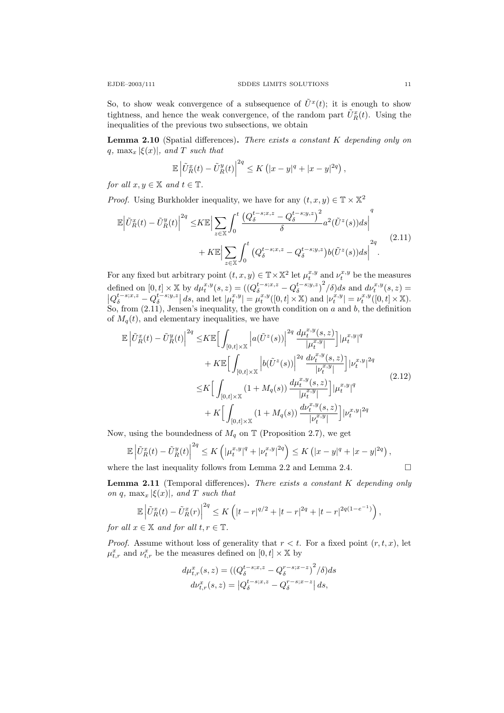So, to show weak convergence of a subsequence of  $\tilde{U}^x(t)$ ; it is enough to show tightness, and hence the weak convergence, of the random part  $\tilde{U}_R^x(t)$ . Using the inequalities of the previous two subsections, we obtain

**Lemma 2.10** (Spatial differences). There exists a constant  $K$  depending only on q, max<sub>x</sub>  $|\xi(x)|$ , and T such that

$$
\mathbb{E}\left|\tilde{U}_{R}^{x}(t)-\tilde{U}_{R}^{y}(t)\right|^{2q} \leq K\left(|x-y|^{q}+|x-y|^{2q}\right),
$$

for all  $x, y \in \mathbb{X}$  and  $t \in \mathbb{T}$ .

*Proof.* Using Burkholder inequality, we have for any  $(t, x, y) \in \mathbb{T} \times \mathbb{X}^2$ 

$$
\mathbb{E}\left|\tilde{U}_{R}^{x}(t)-\tilde{U}_{R}^{y}(t)\right|^{2q} \leq K\mathbb{E}\left|\sum_{z\in\mathbb{X}}\int_{0}^{t}\frac{\left(Q_{\delta}^{t-s;x,z}-Q_{\delta}^{t-s;y,z}\right)^{2}}{\delta}a^{2}(\tilde{U}^{z}(s))ds\right|^{q} + K\mathbb{E}\left|\sum_{z\in\mathbb{X}}\int_{0}^{t}\left(Q_{\delta}^{t-s;x,z}-Q_{\delta}^{t-s;y,z}\right)b(\tilde{U}^{z}(s))ds\right|^{2q}.
$$
\n(2.11)

For any fixed but arbitrary point  $(t, x, y) \in \mathbb{T} \times \mathbb{X}^2$  let  $\mu_t^{x,y}$  and  $\nu_t^{x,y}$  be the measures defined on  $[0,t] \times \mathbb{X}$  by  $d\mu_t^{x,y}(s,z) = ((Q_{\delta}^{t-s;x,z} - Q_{\delta}^{t-s;y,z})^2/\delta)ds$  and  $d\nu_t^{x,y}(s,z) =$  $|Q_{\delta}^{t-s;x,z} - Q_{\delta}^{t-s;y,z}| ds$ , and let  $|\mu_t^{x,y}| = \mu_t^{x,y}([0,t] \times \mathbb{X})$  and  $|\nu_t^{x,y}| = \nu_t^{x,y}([0,t] \times \mathbb{X})$ . So, from  $(2.11)$ , Jensen's inequality, the growth condition on a and b, the definition of  $M_q(t)$ , and elementary inequalities, we have

$$
\mathbb{E}\left|\tilde{U}_{R}^{x}(t)-\tilde{U}_{R}^{y}(t)\right|^{2q} \leq K \mathbb{E}\Big[\int_{[0,t]\times\mathbb{X}}\Big|a(\tilde{U}^{z}(s))\Big|^{2q}\frac{d\mu_{t}^{x,y}(s,z)}{|\mu_{t}^{x,y}|}\Big]|\mu_{t}^{x,y}|^{q} + K \mathbb{E}\Big[\int_{[0,t]\times\mathbb{X}}\Big|b(\tilde{U}^{z}(s))\Big|^{2q}\frac{d\nu_{t}^{x,y}(s,z)}{|\nu_{t}^{x,y}|}\Big]|\nu_{t}^{x,y}|^{2q} \leq K \Big[\int_{[0,t]\times\mathbb{X}}(1+M_{q}(s))\frac{d\mu_{t}^{x,y}(s,z)}{|\mu_{t}^{x,y}|}\Big]|\mu_{t}^{x,y}|^{q} + K \Big[\int_{[0,t]\times\mathbb{X}}(1+M_{q}(s))\frac{d\nu_{t}^{x,y}(s,z)}{|\nu_{t}^{x,y}|}\Big]|\nu_{t}^{x,y}|^{2q} \tag{2.12}
$$

Now, using the boundedness of  $M_q$  on  $\mathbb T$  (Proposition 2.7), we get

$$
\mathbb{E}\left|\tilde{U}_{R}^{x}(t)-\tilde{U}_{R}^{y}(t)\right|^{2q} \leq K\left(|\mu_{t}^{x,y}|^{q}+|\nu_{t}^{x,y}|^{2q}\right) \leq K\left(|x-y|^{q}+|x-y|^{2q}\right),
$$
  
where the last inequality follows from Lemma 2.2 and Lemma 2.4.

**Lemma 2.11** (Temporal differences). There exists a constant  $K$  depending only on q,  $\max_x |\xi(x)|$ , and T such that

$$
\mathbb{E}\left|\tilde{U}_{R}^{x}(t)-\tilde{U}_{R}^{x}(r)\right|^{2q} \leq K\left(|t-r|^{q/2}+|t-r|^{2q}+|t-r|^{2q(1-e^{-1})}\right),\,
$$

for all  $x \in \mathbb{X}$  and for all  $t, r \in \mathbb{T}$ .

*Proof.* Assume without loss of generality that  $r < t$ . For a fixed point  $(r, t, x)$ , let  $\mu_{t,r}^x$  and  $\nu_{t,r}^x$  be the measures defined on  $[0, t] \times \mathbb{X}$  by

$$
d\mu_{t,r}^x(s,z) = ((Q_{\delta}^{t-s;x,z} - Q_{\delta}^{r-s;x-z})^2 / \delta) ds
$$
  

$$
d\nu_{t,r}^x(s,z) = |Q_{\delta}^{t-s;x,z} - Q_{\delta}^{r-s;x-z}| ds,
$$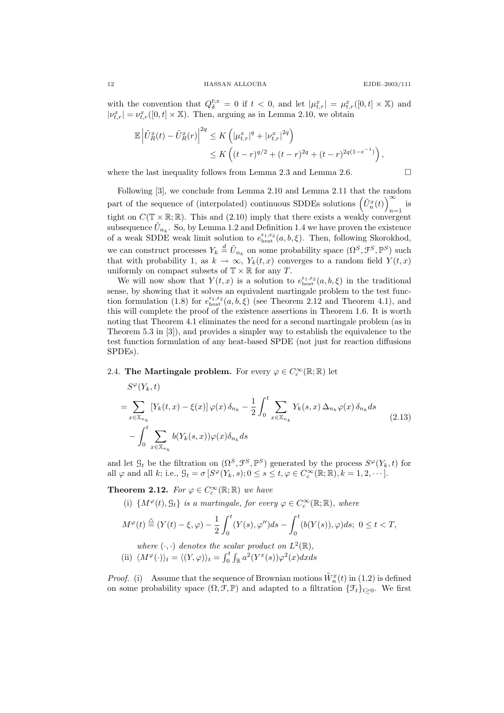with the convention that  $Q_{\delta}^{t;x} = 0$  if  $t < 0$ , and let  $|\mu_{t,r}^x| = \mu_{t,r}^x([0,t] \times \mathbb{X})$  and  $|\nu_{t,r}^x| = \nu_{t,r}^x([0,t] \times \mathbb{X})$ . Then, arguing as in Lemma 2.10, we obtain

$$
\mathbb{E}\left|\tilde{U}_{R}^{x}(t)-\tilde{U}_{R}^{x}(r)\right|^{2q} \leq K\left(|\mu_{t,r}^{x}|^{q}+|\nu_{t,r}^{x}|^{2q}\right) \leq K\left((t-r)^{q/2}+(t-r)^{2q}+(t-r)^{2q(1-e^{-1})}\right),
$$

where the last inequality follows from Lemma 2.3 and Lemma 2.6.  $\Box$ 

Following [3], we conclude from Lemma 2.10 and Lemma 2.11 that the random part of the sequence of (interpolated) continuous SDDEs solutions  $(\tilde{U}_n^x(t))^{\infty}$  $_{n=1}$  is tight on  $C(\mathbb{T} \times \mathbb{R}; \mathbb{R})$ . This and (2.10) imply that there exists a weakly convergent subsequence  $\tilde{U}_{n_k}$ . So, by Lemma 1.2 and Definition 1.4 we have proven the existence of a weak SDDE weak limit solution to  $e_{\text{heat}}^{\epsilon_1,\epsilon_2}(a,b,\xi)$ . Then, following Skorokhod, we can construct processes  $Y_k \stackrel{d}{=} \tilde{U}_{n_k}$  on some probability space  $(\Omega^S, \mathcal{F}^S, \mathbb{P}^S)$  such that with probability 1, as  $k \to \infty$ ,  $Y_k(t,x)$  converges to a random field  $Y(t,x)$ uniformly on compact subsets of  $\mathbb{T} \times \mathbb{R}$  for any T.

We will now show that  $Y(t, x)$  is a solution to  $e_{\text{heat}}^{\epsilon_1, \epsilon_2}(a, b, \xi)$  in the traditional sense, by showing that it solves an equivalent martingale problem to the test function formulation (1.8) for  $e_{\text{heat}}^{e_1,e_2}(a,b,\xi)$  (see Theorem 2.12 and Theorem 4.1), and this will complete the proof of the existence assertions in Theorem 1.6. It is worth noting that Theorem 4.1 eliminates the need for a second martingale problem (as in Theorem 5.3 in [3]), and provides a simpler way to establish the equivalence to the test function formulation of any heat-based SPDE (not just for reaction diffusions SPDEs).

# 2.4. The Martingale problem. For every  $\varphi \in C_c^{\infty}(\mathbb{R}; \mathbb{R})$  let

$$
S^{\varphi}(Y_k, t)
$$
  
= 
$$
\sum_{x \in \mathbb{X}_{n_k}} [Y_k(t, x) - \xi(x)] \varphi(x) \delta_{n_k} - \frac{1}{2} \int_0^t \sum_{x \in \mathbb{X}_{n_k}} Y_k(s, x) \Delta_{n_k} \varphi(x) \delta_{n_k} ds
$$
  
- 
$$
\int_0^t \sum_{x \in \mathbb{X}_{n_k}} b(Y_k(s, x)) \varphi(x) \delta_{n_k} ds
$$
 (2.13)

and let  $\mathcal{G}_t$  be the filtration on  $(\Omega^S, \mathcal{F}^S, \mathbb{P}^S)$  generated by the process  $S^{\varphi}(Y_k, t)$  for all  $\varphi$  and all k; i.e.,  $\mathcal{G}_t = \sigma \left[ S^{\varphi}(Y_k, s); 0 \le s \le t, \varphi \in C_c^{\infty}(\mathbb{R}; \mathbb{R}), k = 1, 2, \dots \right]$ .

**Theorem 2.12.** For  $\varphi \in C_c^{\infty}(\mathbb{R}; \mathbb{R})$  we have

(i)  $\{M^{\varphi}(t), \mathcal{G}_t\}$  is a martingale, for every  $\varphi \in C_c^{\infty}(\mathbb{R}; \mathbb{R})$ , where

$$
M^{\varphi}(t) \stackrel{\triangle}{=} (Y(t) - \xi, \varphi) - \frac{1}{2} \int_0^t (Y(s), \varphi'') ds - \int_0^t (b(Y(s)), \varphi) ds; \ 0 \le t < T,
$$

where 
$$
(\cdot, \cdot)
$$
 denotes the scalar product on  $L^2(\mathbb{R})$ ,  
(ii)  $\langle M^{\varphi}(\cdot) \rangle_t = \langle (Y, \varphi) \rangle_t = \int_0^t \int_{\mathbb{R}} a^2 (Y^x(s)) \varphi^2(x) dx ds$ 

*Proof.* (i) Assume that the sequence of Brownian motions  $\tilde{W}_n^x(t)$  in (1.2) is defined on some probability space  $(\Omega, \mathcal{F}, \mathbb{P})$  and adapted to a filtration  $\{\mathcal{F}_t\}_{t>0}$ . We first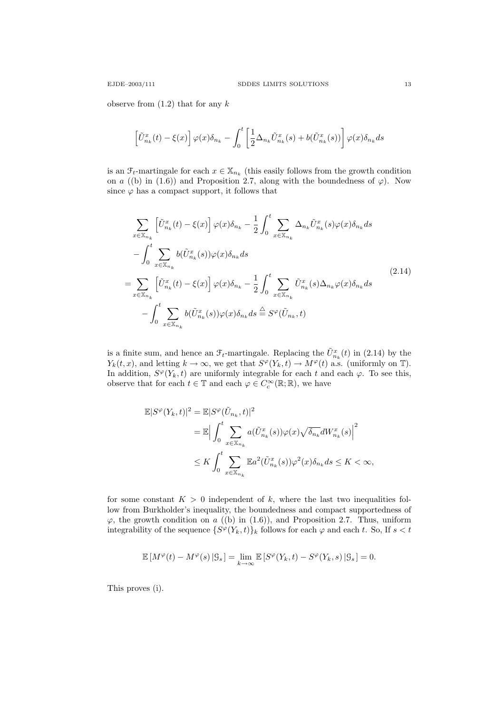observe from  $(1.2)$  that for any k

$$
\left[\tilde{U}_{n_k}^x(t) - \xi(x)\right]\varphi(x)\delta_{n_k} - \int_0^t \left[\frac{1}{2}\Delta_{n_k}\tilde{U}_{n_k}^x(s) + b(\tilde{U}_{n_k}^x(s))\right]\varphi(x)\delta_{n_k}ds
$$

is an  $\mathcal{F}_t$ -martingale for each  $x \in \mathbb{X}_{n_k}$  (this easily follows from the growth condition on a ((b) in (1.6)) and Proposition 2.7, along with the boundedness of  $\varphi$ ). Now since  $\varphi$  has a compact support, it follows that

$$
\sum_{x \in \mathbb{X}_{n_k}} \left[ \tilde{U}_{n_k}^x(t) - \xi(x) \right] \varphi(x) \delta_{n_k} - \frac{1}{2} \int_0^t \sum_{x \in \mathbb{X}_{n_k}} \Delta_{n_k} \tilde{U}_{n_k}^x(s) \varphi(x) \delta_{n_k} ds \n- \int_0^t \sum_{x \in \mathbb{X}_{n_k}} b(\tilde{U}_{n_k}^x(s)) \varphi(x) \delta_{n_k} ds \n= \sum_{x \in \mathbb{X}_{n_k}} \left[ \tilde{U}_{n_k}^x(t) - \xi(x) \right] \varphi(x) \delta_{n_k} - \frac{1}{2} \int_0^t \sum_{x \in \mathbb{X}_{n_k}} \tilde{U}_{n_k}^x(s) \Delta_{n_k} \varphi(x) \delta_{n_k} ds \n- \int_0^t \sum_{x \in \mathbb{X}_{n_k}} b(\tilde{U}_{n_k}^x(s)) \varphi(x) \delta_{n_k} ds \stackrel{\triangle}{=} S^{\varphi}(\tilde{U}_{n_k}, t)
$$
\n(2.14)

is a finite sum, and hence an  $\mathcal{F}_t$ -martingale. Replacing the  $\tilde{U}^x_{n_k}(t)$  in (2.14) by the  $Y_k(t, x)$ , and letting  $k \to \infty$ , we get that  $S^{\varphi}(Y_k, t) \to M^{\varphi}(t)$  a.s. (uniformly on  $\mathbb{T}$ ). In addition,  $S^{\varphi}(Y_k, t)$  are uniformly integrable for each t and each  $\varphi$ . To see this, observe that for each  $t \in \mathbb{T}$  and each  $\varphi \in C_c^{\infty}(\mathbb{R}; \mathbb{R})$ , we have

$$
\mathbb{E}|S^{\varphi}(Y_k,t)|^2 = \mathbb{E}|S^{\varphi}(\tilde{U}_{n_k},t)|^2
$$
  
\n
$$
= \mathbb{E}\Big|\int_0^t \sum_{x \in \mathbb{X}_{n_k}} a(\tilde{U}_{n_k}^x(s))\varphi(x)\sqrt{\delta_{n_k}}dW_{n_k}^x(s)\Big|^2
$$
  
\n
$$
\leq K \int_0^t \sum_{x \in \mathbb{X}_{n_k}} \mathbb{E}a^2(\tilde{U}_{n_k}^x(s))\varphi^2(x)\delta_{n_k}ds \leq K < \infty,
$$

for some constant  $K > 0$  independent of k, where the last two inequalities follow from Burkholder's inequality, the boundedness and compact supportedness of  $\varphi$ , the growth condition on a ((b) in (1.6)), and Proposition 2.7. Thus, uniform integrability of the sequence  $\{S^{\varphi}(Y_k,t)\}_k$  follows for each  $\varphi$  and each t. So, If  $s < t$ 

$$
\mathbb{E}\left[M^{\varphi}(t) - M^{\varphi}(s) | \mathcal{G}_s\right] = \lim_{k \to \infty} \mathbb{E}\left[S^{\varphi}(Y_k, t) - S^{\varphi}(Y_k, s) | \mathcal{G}_s\right] = 0.
$$

This proves (i).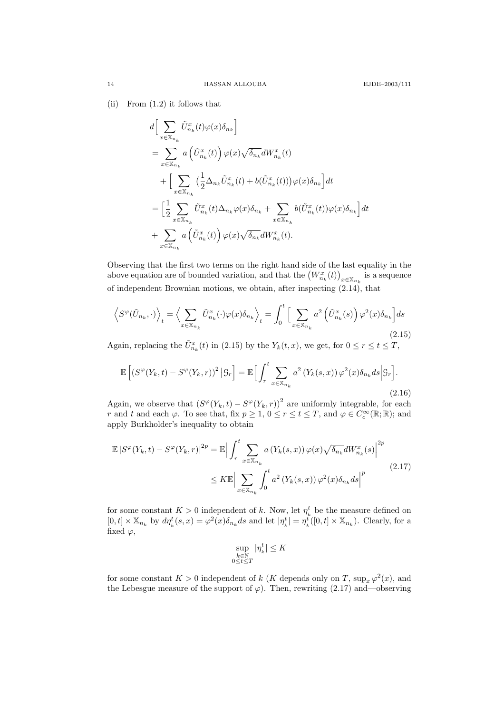(ii) From (1.2) it follows that

$$
\begin{split} & d\Big[\sum_{x\in \mathbb{X}_{n_k}} \tilde{U}_{n_k}^x(t) \varphi(x) \delta_{n_k}\Big]\\ &= \sum_{x\in \mathbb{X}_{n_k}} a\left(\tilde{U}_{n_k}^x(t)\right) \varphi(x) \sqrt{\delta_{n_k}} dW_{n_k}^x(t) \\ & +\Big[\sum_{x\in \mathbb{X}_{n_k}} \big(\frac{1}{2} \Delta_{n_k} \tilde{U}_{n_k}^x(t)+b(\tilde{U}_{n_k}^x(t))\big) \varphi(x) \delta_{n_k}\Big] dt\\ &= \Big[\frac{1}{2} \sum_{x\in \mathbb{X}_{n_k}} \tilde{U}_{n_k}^x(t) \Delta_{n_k} \varphi(x) \delta_{n_k} + \sum_{x\in \mathbb{X}_{n_k}} b(\tilde{U}_{n_k}^x(t)) \varphi(x) \delta_{n_k}\Big] dt\\ & + \sum_{x\in \mathbb{X}_{n_k}} a\left(\tilde{U}_{n_k}^x(t)\right) \varphi(x) \sqrt{\delta_{n_k}} dW_{n_k}^x(t). \end{split}
$$

Observing that the first two terms on the right hand side of the last equality in the above equation are of bounded variation, and that the  $(W^x_{n_k}(t))_{x \in \mathbb{X}_{n_k}}$  is a sequence of independent Brownian motions, we obtain, after inspecting (2.14), that

$$
\left\langle S^{\varphi}(\tilde{U}_{n_k},\cdot)\right\rangle_t = \left\langle \sum_{x \in \mathbb{X}_{n_k}} \tilde{U}_{n_k}^x(\cdot)\varphi(x)\delta_{n_k} \right\rangle_t = \int_0^t \Big[ \sum_{x \in \mathbb{X}_{n_k}} a^2 \left( \tilde{U}_{n_k}^x(s) \right) \varphi^2(x)\delta_{n_k} \Big] ds
$$
\n(2.15)

Again, replacing the  $\tilde{U}_{n_k}^x(t)$  in (2.15) by the  $Y_k(t, x)$ , we get, for  $0 \le r \le t \le T$ ,

$$
\mathbb{E}\left[\left(S^{\varphi}(Y_k,t) - S^{\varphi}(Y_k,r)\right)^2 \Big| \mathcal{G}_r\right] = \mathbb{E}\Big[\int_r^t \sum_{x \in \mathbb{X}_{n_k}} a^2 \left(Y_k(s,x)\right) \varphi^2(x) \delta_{n_k} ds \Big| \mathcal{G}_r\Big].\tag{2.16}
$$

Again, we observe that  $(S^{\varphi}(Y_k,t) - S^{\varphi}(Y_k,r))^2$  are uniformly integrable, for each r and t and each  $\varphi$ . To see that, fix  $p \geq 1, 0 \leq r \leq t \leq T$ , and  $\varphi \in C_c^{\infty}(\mathbb{R}; \mathbb{R})$ ; and apply Burkholder's inequality to obtain

$$
\mathbb{E}\left|S^{\varphi}(Y_k,t) - S^{\varphi}(Y_k,r)\right|^{2p} = \mathbb{E}\left|\int_r^t \sum_{x \in \mathbb{X}_{n_k}} a\left(Y_k(s,x)\right) \varphi(x) \sqrt{\delta_{n_k}} dW_{n_k}^x(s)\right|^{2p}
$$
\n
$$
\leq K \mathbb{E}\left|\sum_{x \in \mathbb{X}_{n_k}} \int_0^t a^2 \left(Y_k(s,x)\right) \varphi^2(x) \delta_{n_k} ds\right|^p \tag{2.17}
$$

for some constant  $K > 0$  independent of k. Now, let  $\eta_k^t$  be the measure defined on  $[0,t] \times \mathbb{X}_{n_k}$  by  $d\eta^t_k(s,x) = \varphi^2(x)\delta_{n_k}ds$  and let  $|\eta^t_k| = \eta^t_k([0,t] \times \mathbb{X}_{n_k})$ . Clearly, for a fixed  $\varphi$ ,

$$
\sup_{\substack{k \in \mathbb{N} \\ 0 \le t \le T}} |\eta^t_k| \le K
$$

for some constant  $K > 0$  independent of k (K depends only on T,  $\sup_x \varphi^2(x)$ , and the Lebesgue measure of the support of  $\varphi$ ). Then, rewriting (2.17) and—observing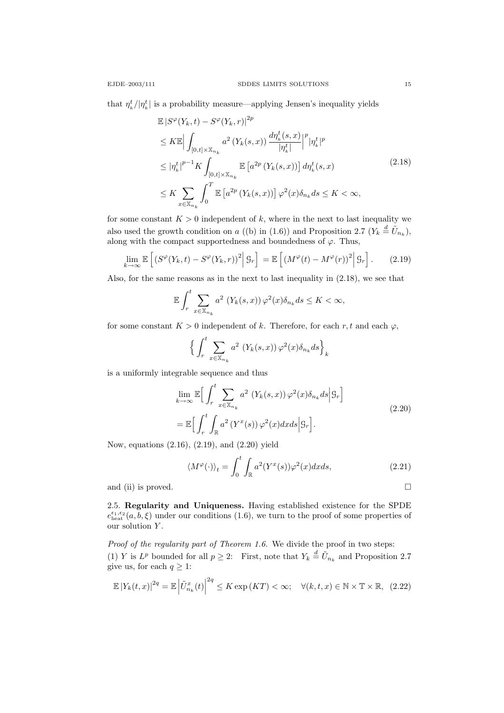that  $\eta_k^t / |\eta_k^t|$  is a probability measure—applying Jensen's inequality yields

$$
\mathbb{E}\left|S^{\varphi}(Y_k,t) - S^{\varphi}(Y_k,r)\right|^{2p}
$$
\n
$$
\leq K \mathbb{E}\left|\int_{[0,t]\times\mathbb{X}_{n_k}} a^2 \left(Y_k(s,x)\right) \frac{d\eta_k^t(s,x)}{|\eta_k^t|}\right|^p |\eta_k^t|^p
$$
\n
$$
\leq |\eta_k^t|^{p-1} K \int_{[0,t]\times\mathbb{X}_{n_k}} \mathbb{E}\left[a^{2p} \left(Y_k(s,x)\right)\right] d\eta_k^t(s,x)
$$
\n
$$
\leq K \sum_{x \in \mathbb{X}_{n_k}} \int_0^T \mathbb{E}\left[a^{2p} \left(Y_k(s,x)\right)\right] \varphi^2(x) \delta_{n_k} ds \leq K < \infty,
$$
\n(2.18)

for some constant  $K > 0$  independent of k, where in the next to last inequality we also used the growth condition on a ((b) in (1.6)) and Proposition 2.7 ( $Y_k \stackrel{d}{=} \tilde{U}_{n_k}$ ), along with the compact supportedness and boundedness of  $\varphi$ . Thus,

$$
\lim_{k \to \infty} \mathbb{E}\left[ \left( S^{\varphi}(Y_k, t) - S^{\varphi}(Y_k, r) \right)^2 \middle| \mathcal{G}_r \right] = \mathbb{E}\left[ \left( M^{\varphi}(t) - M^{\varphi}(r) \right)^2 \middle| \mathcal{G}_r \right]. \tag{2.19}
$$

Also, for the same reasons as in the next to last inequality in (2.18), we see that

$$
\mathbb{E}\int_{r}^{t}\sum_{x\in\mathbb{X}_{n_{k}}}a^{2}\left(Y_{k}(s,x)\right)\varphi^{2}(x)\delta_{n_{k}}ds\leq K<\infty,
$$

for some constant  $K > 0$  independent of k. Therefore, for each r, t and each  $\varphi$ ,

$$
\Big\{\int_r^t \sum_{x \in \mathbb{X}_{n_k}} a^2 \left(Y_k(s,x)\right) \varphi^2(x) \delta_{n_k} ds \Big\}_k
$$

is a uniformly integrable sequence and thus

$$
\lim_{k \to \infty} \mathbb{E} \Big[ \int_r^t \sum_{x \in \mathbb{X}_{n_k}} a^2 \left( Y_k(s, x) \right) \varphi^2(x) \delta_{n_k} ds \Big| \mathcal{G}_r \Big]
$$
\n
$$
= \mathbb{E} \Big[ \int_r^t \int_{\mathbb{R}} a^2 \left( Y^x(s) \right) \varphi^2(x) dx ds \Big| \mathcal{G}_r \Big].
$$
\n(2.20)

Now, equations (2.16), (2.19), and (2.20) yield

$$
\langle M^{\varphi}(\cdot)\rangle_{t} = \int_{0}^{t} \int_{\mathbb{R}} a^{2} (Y^{x}(s)) \varphi^{2}(x) dx ds, \qquad (2.21)
$$

and (ii) is proved.  $\Box$ 

2.5. Regularity and Uniqueness. Having established existence for the SPDE  $e_{\text{heat}}^{\epsilon_1,\epsilon_2}(a,b,\xi)$  under our conditions (1.6), we turn to the proof of some properties of our solution Y.

Proof of the regularity part of Theorem 1.6. We divide the proof in two steps: (1) Y is  $L^p$  bounded for all  $p \geq 2$ : First, note that  $Y_k \stackrel{d}{=} \tilde{U}_{n_k}$  and Proposition 2.7 give us, for each  $q \geq 1$ :

$$
\mathbb{E}|Y_k(t,x)|^{2q} = \mathbb{E}\left|\tilde{U}_{n_k}^x(t)\right|^{2q} \le K \exp\left(KT\right) < \infty; \quad \forall (k,t,x) \in \mathbb{N} \times \mathbb{T} \times \mathbb{R}, \tag{2.22}
$$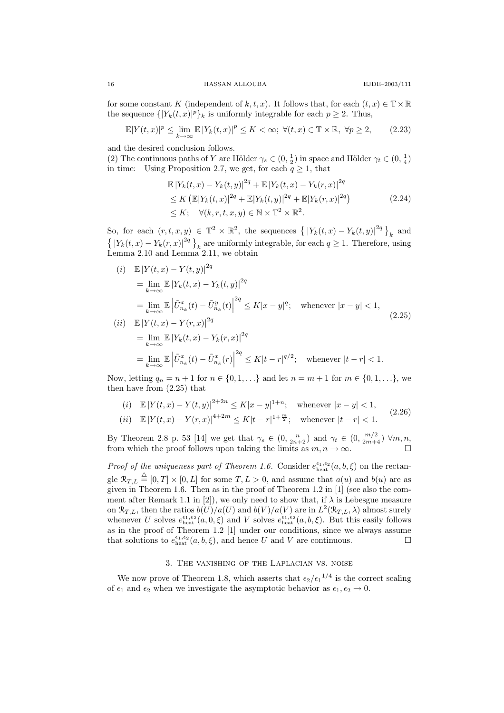for some constant K (independent of k, t, x). It follows that, for each  $(t, x) \in \mathbb{T} \times \mathbb{R}$ the sequence  $\{|Y_k(t,x)|^p\}_k$  is uniformly integrable for each  $p \geq 2$ . Thus,

$$
\mathbb{E}|Y(t,x)|^p \le \lim_{k \to \infty} \mathbb{E}|Y_k(t,x)|^p \le K < \infty; \ \forall (t,x) \in \mathbb{T} \times \mathbb{R}, \ \forall p \ge 2,\tag{2.23}
$$

and the desired conclusion follows.

(2) The continuous paths of Y are Hölder  $\gamma_s \in (0, \frac{1}{2})$  in space and Hölder  $\gamma_t \in (0, \frac{1}{4})$ in time: Using Proposition 2.7, we get, for each  $q \ge 1$ , that

$$
\mathbb{E}|Y_k(t,x) - Y_k(t,y)|^{2q} + \mathbb{E}|Y_k(t,x) - Y_k(r,x)|^{2q} \n\le K \left( \mathbb{E}|Y_k(t,x)|^{2q} + \mathbb{E}|Y_k(t,y)|^{2q} + \mathbb{E}|Y_k(r,x)|^{2q} \right) \n\le K; \quad \forall (k,r,t,x,y) \in \mathbb{N} \times \mathbb{T}^2 \times \mathbb{R}^2.
$$
\n(2.24)

So, for each  $(r, t, x, y) \in \mathbb{T}^2 \times \mathbb{R}^2$ , the sequences  $\left\{ |Y_k(t, x) - Y_k(t, y)|^{2q} \right\}_k$  and  $\{ |Y_k(t,x) - Y_k(r,x)|^{2q} \}_{k}$  are uniformly integrable, for each  $q \ge 1$ . Therefore, using Lemma 2.10 and Lemma 2.11, we obtain

$$
(i) \quad \mathbb{E}|Y(t,x) - Y(t,y)|^{2q}
$$
\n
$$
= \lim_{k \to \infty} \mathbb{E}|Y_k(t,x) - Y_k(t,y)|^{2q}
$$
\n
$$
= \lim_{k \to \infty} \mathbb{E}|\tilde{U}_{n_k}^x(t) - \tilde{U}_{n_k}^y(t)|^{2q} \le K|x - y|^q; \quad \text{whenever } |x - y| < 1,
$$
\n
$$
(ii) \quad \mathbb{E}|Y(t,x) - Y(r,x)|^{2q}
$$
\n
$$
= \lim_{k \to \infty} \mathbb{E}|Y_k(t,x) - Y_k(r,x)|^{2q}
$$
\n
$$
(2.25)
$$

$$
= \lim_{k \to \infty} \mathbb{E} \left| \tilde{U}_{n_k}^x(t) - \tilde{U}_{n_k}^x(r) \right|^{2q} \le K|t-r|^{q/2}; \quad \text{whenever } |t-r| < 1.
$$

Now, letting  $q_n = n + 1$  for  $n \in \{0, 1, ...\}$  and let  $n = m + 1$  for  $m \in \{0, 1, ...\}$ , we then have from (2.25) that

(i) 
$$
\mathbb{E}|Y(t,x) - Y(t,y)|^{2+2n} \le K|x-y|^{1+n}
$$
; whenever  $|x-y| < 1$ ,  
\n(ii)  $\mathbb{E}|Y(t,x) - Y(r,x)|^{4+2m} \le K|t-r|^{1+\frac{m}{2}}$ ; whenever  $|t-r| < 1$ . (2.26)

By Theorem 2.8 p. 53 [14] we get that  $\gamma_s \in (0, \frac{n}{2n+2})$  and  $\gamma_t \in (0, \frac{m/2}{2m+4})$   $\forall m, n$ , from which the proof follows upon taking the limits as  $m, n \to \infty$ .

*Proof of the uniqueness part of Theorem 1.6.* Consider  $e_{\text{heat}}^{\epsilon_1, \epsilon_2}(a, b, \xi)$  on the rectangle  $\mathcal{R}_{T,L} \stackrel{\triangle}{=} [0,T] \times [0,L]$  for some  $T,L > 0$ , and assume that  $a(u)$  and  $b(u)$  are as given in Theorem 1.6. Then as in the proof of Theorem 1.2 in [1] (see also the comment after Remark 1.1 in [2]), we only need to show that, if  $\lambda$  is Lebesgue measure on  $\mathcal{R}_{T,L}$ , then the ratios  $b(U)/a(U)$  and  $b(V)/a(V)$  are in  $L^2(\mathcal{R}_{T,L},\lambda)$  almost surely whenever U solves  $e_{\text{heat}}^{\epsilon_1,\epsilon_2}(a,0,\xi)$  and V solves  $e_{\text{heat}}^{\epsilon_1,\epsilon_2}(a,b,\xi)$ . But this easily follows as in the proof of Theorem 1.2 [1] under our conditions, since we always assume that solutions to  $e_{\text{heat}}^{\epsilon_1,\epsilon_2}(a,b,\xi)$ , and hence U and V are continuous.

## 3. The vanishing of the Laplacian vs. noise

We now prove of Theorem 1.8, which asserts that  $\epsilon_2/\epsilon_1^{1/4}$  is the correct scaling of  $\epsilon_1$  and  $\epsilon_2$  when we investigate the asymptotic behavior as  $\epsilon_1, \epsilon_2 \to 0$ .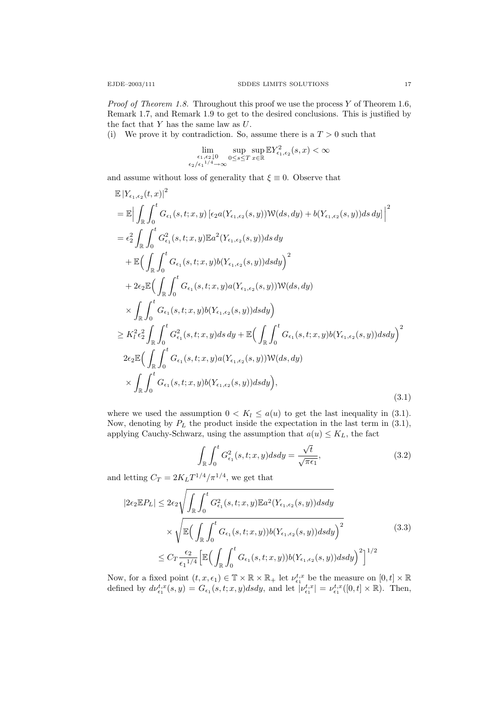*Proof of Theorem 1.8.* Throughout this proof we use the process Y of Theorem 1.6, Remark 1.7, and Remark 1.9 to get to the desired conclusions. This is justified by the fact that  $Y$  has the same law as  $U$ .

(i) We prove it by contradiction. So, assume there is a  $T > 0$  such that

$$
\lim_{\substack{\epsilon_1,\epsilon_2\downarrow 0\\ \epsilon_2/\epsilon_1^{-1/4}\to\infty}}\sup_{0\leq s\leq T}\sup_{x\in\mathbb{R}}\mathbb{E}Y^2_{\epsilon_1,\epsilon_2}(s,x)<\infty
$$

and assume without loss of generality that  $\xi \equiv 0$ . Observe that

$$
\mathbb{E}|Y_{\epsilon_{1},\epsilon_{2}}(t,x)|^{2}
$$
\n  
\n
$$
= \mathbb{E}\Big|\int_{\mathbb{R}}\int_{0}^{t}G_{\epsilon_{1}}(s,t;x,y)\left[\epsilon_{2}a(Y_{\epsilon_{1},\epsilon_{2}}(s,y))\mathcal{W}(ds,dy) + b(Y_{\epsilon_{1},\epsilon_{2}}(s,y))ds\,dy\right]\Big|^{2}
$$
\n  
\n
$$
= \epsilon_{2}^{2}\int_{\mathbb{R}}\int_{0}^{t}G_{\epsilon_{1}}^{2}(s,t;x,y)\mathbb{E}a^{2}(Y_{\epsilon_{1},\epsilon_{2}}(s,y))ds\,dy
$$
\n  
\n
$$
+ \mathbb{E}\Big(\int_{\mathbb{R}}\int_{0}^{t}G_{\epsilon_{1}}(s,t;x,y)b(Y_{\epsilon_{1},\epsilon_{2}}(s,y))dsdy\Big)^{2}
$$
\n  
\n
$$
+ 2\epsilon_{2}\mathbb{E}\Big(\int_{\mathbb{R}}\int_{0}^{t}G_{\epsilon_{1}}(s,t;x,y)a(Y_{\epsilon_{1},\epsilon_{2}}(s,y))\mathcal{W}(ds,dy)
$$
\n  
\n
$$
\times \int_{\mathbb{R}}\int_{0}^{t}G_{\epsilon_{1}}(s,t;x,y)b(Y_{\epsilon_{1},\epsilon_{2}}(s,y))dsdy\Big)
$$
\n  
\n
$$
\geq K_{1}^{2}\epsilon_{2}^{2}\int_{\mathbb{R}}\int_{0}^{t}G_{\epsilon_{1}}^{2}(s,t;x,y)ds\,dy + \mathbb{E}\Big(\int_{\mathbb{R}}\int_{0}^{t}G_{\epsilon_{1}}(s,t;x,y)b(Y_{\epsilon_{1},\epsilon_{2}}(s,y))dsdy\Big)^{2}
$$
\n  
\n
$$
2\epsilon_{2}\mathbb{E}\Big(\int_{\mathbb{R}}\int_{0}^{t}G_{\epsilon_{1}}(s,t;x,y)a(Y_{\epsilon_{1},\epsilon_{2}}(s,y))\mathcal{W}(ds,dy)
$$
\n  
\n
$$
\times \int_{\mathbb{R}}\int_{0}^{t}G_{\epsilon_{1}}(s,t;x,y)b(Y_{\epsilon_{1},\epsilon_{2}}(s,y))dsdy\Big), \tag{3.1}
$$

where we used the assumption  $0 < K_l \leq a(u)$  to get the last inequality in (3.1). Now, denoting by  $P_L$  the product inside the expectation in the last term in (3.1), applying Cauchy-Schwarz, using the assumption that  $a(u) \leq K_L$ , the fact

$$
\int_{\mathbb{R}} \int_0^t G_{\epsilon_1}^2(s, t; x, y) ds dy = \frac{\sqrt{t}}{\sqrt{\pi \epsilon_1}},
$$
\n(3.2)

and letting  $C_T = 2K_L T^{1/4} / \pi^{1/4}$ , we get that

$$
|2\epsilon_2 \mathbb{E} P_L| \leq 2\epsilon_2 \sqrt{\int_{\mathbb{R}} \int_0^t G_{\epsilon_1}^2(s, t; x, y) \mathbb{E} a^2(Y_{\epsilon_1, \epsilon_2}(s, y)) ds dy} \times \sqrt{\mathbb{E} \Big( \int_{\mathbb{R}} \int_0^t G_{\epsilon_1}(s, t; x, y)) b(Y_{\epsilon_1, \epsilon_2}(s, y)) ds dy \Big)^2} \leq C_T \frac{\epsilon_2}{\epsilon_1^{1/4}} \Big[ \mathbb{E} \Big( \int_{\mathbb{R}} \int_0^t G_{\epsilon_1}(s, t; x, y)) b(Y_{\epsilon_1, \epsilon_2}(s, y)) ds dy \Big)^2 \Big]^{1/2}
$$
\n(3.3)

Now, for a fixed point  $(t, x, \epsilon_1) \in \mathbb{T} \times \mathbb{R} \times \mathbb{R}_+$  let  $\nu_{\epsilon_1}^{t,x}$  be the measure on  $[0, t] \times \mathbb{R}$ defined by  $d\nu_{\epsilon_1}^{t,x}(s,y) = G_{\epsilon_1}(s,t;x,y)dsdy$ , and let  $|\nu_{\epsilon_1}^{t,x}| = \nu_{\epsilon_1}^{t,x}([0,t] \times \mathbb{R})$ . Then,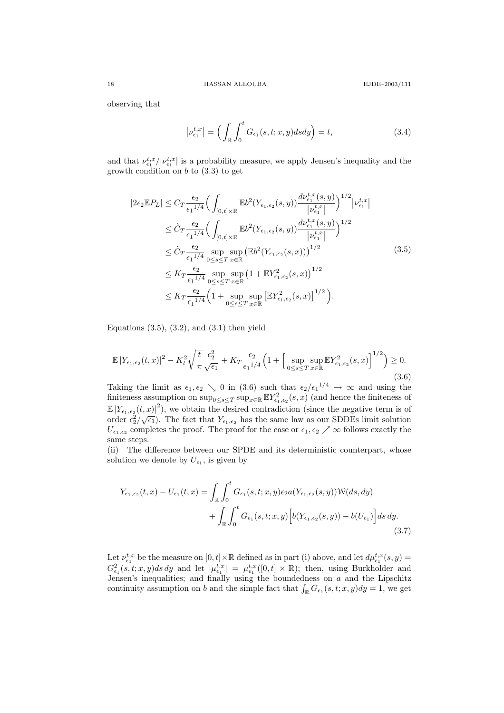observing that

$$
\left|\nu_{\epsilon_1}^{t,x}\right| = \left(\int_{\mathbb{R}} \int_0^t G_{\epsilon_1}(s,t;x,y)dsdy\right) = t,\tag{3.4}
$$

and that  $\nu_{\epsilon_1}^{t,x}/|\nu_{\epsilon_1}^{t,x}|$  is a probability measure, we apply Jensen's inequality and the growth condition on  $b$  to  $(3.3)$  to get

$$
|2\epsilon_{2}\mathbb{E}P_{L}| \leq C_{T} \frac{\epsilon_{2}}{\epsilon_{1}^{1/4}} \Big(\int_{[0,t] \times \mathbb{R}} \mathbb{E}b^{2}(Y_{\epsilon_{1},\epsilon_{2}}(s,y)) \frac{d\nu_{\epsilon_{1}}^{t,x}(s,y)}{|\nu_{\epsilon_{1}}^{t,x}|}\Big)^{1/2} |\nu_{\epsilon_{1}}^{t,x}|
$$
  
\n
$$
\leq \tilde{C}_{T} \frac{\epsilon_{2}}{\epsilon_{1}^{1/4}} \Big(\int_{[0,t] \times \mathbb{R}} \mathbb{E}b^{2}(Y_{\epsilon_{1},\epsilon_{2}}(s,y)) \frac{d\nu_{\epsilon_{1}}^{t,x}(s,y)}{|\nu_{\epsilon_{1}}^{t,x}|}\Big)^{1/2}
$$
  
\n
$$
\leq \tilde{C}_{T} \frac{\epsilon_{2}}{\epsilon_{1}^{1/4}} \sup_{0 \leq s \leq T} \sup_{x \in \mathbb{R}} (\mathbb{E}b^{2}(Y_{\epsilon_{1},\epsilon_{2}}(s,x)))^{1/2}
$$
  
\n
$$
\leq K_{T} \frac{\epsilon_{2}}{\epsilon_{1}^{1/4}} \sup_{0 \leq s \leq T} \sup_{x \in \mathbb{R}} (1 + \mathbb{E}Y_{\epsilon_{1},\epsilon_{2}}^{2}(s,x))^{1/2}
$$
  
\n
$$
\leq K_{T} \frac{\epsilon_{2}}{\epsilon_{1}^{1/4}} \Big(1 + \sup_{0 \leq s \leq T} \sup_{x \in \mathbb{R}} [\mathbb{E}Y_{\epsilon_{1},\epsilon_{2}}^{2}(s,x)]^{1/2}\Big).
$$
  
\n(3.5)

Equations  $(3.5), (3.2),$  and  $(3.1)$  then yield

$$
\mathbb{E}|Y_{\epsilon_1,\epsilon_2}(t,x)|^2 - K_l^2 \sqrt{\frac{t}{\pi}} \frac{\epsilon_2^2}{\sqrt{\epsilon_1}} + K_T \frac{\epsilon_2}{\epsilon_1^{1/4}} \Big(1 + \Big[ \sup_{0 \le s \le T} \sup_{x \in \mathbb{R}} \mathbb{E} Y_{\epsilon_1,\epsilon_2}^2(s,x) \Big]^{1/2} \Big) \ge 0. \tag{3.6}
$$

Taking the limit as  $\epsilon_1, \epsilon_2 \searrow 0$  in (3.6) such that  $\epsilon_2/\epsilon_1^{1/4} \to \infty$  and using the finiteness assumption on  $\sup_{0\leq s\leq T} \sup_{x\in\mathbb{R}} \mathbb{E} Y_{\epsilon_1,\epsilon_2}^2(s,x)$  (and hence the finiteness of  $\mathbb{E}|Y_{\epsilon_1,\epsilon_2}(t,x)|^2$ ), we obtain the desired contradiction (since the negative term is of  $\frac{d}{dt} \left[ \frac{1}{\epsilon_1, \epsilon_2(t, x)} \right]$ , we obtain the desired contradiction (since the negative term is order  $\epsilon_2^2/\sqrt{\epsilon_1}$ ). The fact that  $Y_{\epsilon_1, \epsilon_2}$  has the same law as our SDDEs limit solution  $U_{\epsilon_1,\epsilon_2}$  completes the proof. The proof for the case or  $\epsilon_1, \epsilon_2 \nearrow \infty$  follows exactly the same steps.

(ii) The difference between our SPDE and its deterministic counterpart, whose solution we denote by  $U_{\epsilon_1}$ , is given by

$$
Y_{\epsilon_1,\epsilon_2}(t,x) - U_{\epsilon_1}(t,x) = \int_{\mathbb{R}} \int_0^t G_{\epsilon_1}(s,t;x,y) \epsilon_2 a(Y_{\epsilon_1,\epsilon_2}(s,y)) \mathcal{W}(ds,dy)
$$

$$
+ \int_{\mathbb{R}} \int_0^t G_{\epsilon_1}(s,t;x,y) \Big[ b(Y_{\epsilon_1,\epsilon_2}(s,y)) - b(U_{\epsilon_1}) \Big] ds dy.
$$
(3.7)

Let  $\nu_{\epsilon_1}^{t,x}$  be the measure on  $[0,t] \times \mathbb{R}$  defined as in part (i) above, and let  $d\mu_{\epsilon_1}^{t,x}(s,y) =$  $G_{\epsilon_1}^2(s,t;x,y)ds\,dy$  and let  $|\mu_{\epsilon_1}^{t,x}| = \mu_{\epsilon_1}^{t,x}([0,t] \times \mathbb{R})$ ; then, using Burkholder and Jensen's inequalities; and finally using the boundedness on  $a$  and the Lipschitz continuity assumption on b and the simple fact that  $\int_{\mathbb{R}} G_{\epsilon_1}(s,t;x,y) dy = 1$ , we get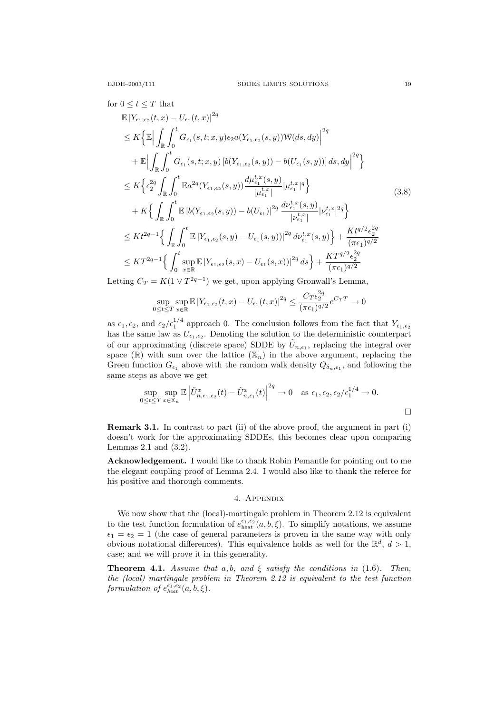for 
$$
0 \le t \le T
$$
 that  
\n
$$
\mathbb{E}|Y_{\epsilon_1,\epsilon_2}(t,x) - U_{\epsilon_1}(t,x)|^{2q}
$$
\n
$$
\le K \Big\{ \mathbb{E} \Big| \int_{\mathbb{R}} \int_0^t G_{\epsilon_1}(s,t;x,y) \epsilon_2 a(Y_{\epsilon_1,\epsilon_2}(s,y)) \mathbb{W}(ds,dy) \Big|^{2q}
$$
\n
$$
+ \mathbb{E} \Big| \int_{\mathbb{R}} \int_0^t G_{\epsilon_1}(s,t;x,y) \left[ b(Y_{\epsilon_1,\epsilon_2}(s,y)) - b(U_{\epsilon_1}(s,y)) \right] ds, dy \Big|^{2q} \Big\}
$$
\n
$$
\le K \Big\{ \epsilon_2^{2q} \int_{\mathbb{R}} \int_0^t \mathbb{E} a^{2q} (Y_{\epsilon_1,\epsilon_2}(s,y)) \frac{d\mu_{\epsilon_1}^{t,x}(s,y)}{|\mu_{\epsilon_1}^{t,x}|} |\mu_{\epsilon_1}^{t,x}|^q \Big\}
$$
\n
$$
+ K \Big\{ \int_{\mathbb{R}} \int_0^t \mathbb{E} |b(Y_{\epsilon_1,\epsilon_2}(s,y)) - b(U_{\epsilon_1})|^{2q} \frac{d\nu_{\epsilon_1}^{t,x}(s,y)}{|\nu_{\epsilon_1}^{t,x}|} |\nu_{\epsilon_1}^{t,x}|^{2q} \Big\}
$$
\n
$$
\le K t^{2q-1} \Big\{ \int_{\mathbb{R}} \int_0^t \mathbb{E} |Y_{\epsilon_1,\epsilon_2}(s,y) - U_{\epsilon_1}(s,y)|^{2q} d\nu_{\epsilon_1}^{t,x}(s,y) \Big\} + \frac{K t^{q/2} \epsilon_2^{2q}}{(\pi \epsilon_1)^{q/2}}
$$
\n
$$
\le K T^{2q-1} \Big\{ \int_0^t \sup_{x \in \mathbb{R}} \mathbb{E} |Y_{\epsilon_1,\epsilon_2}(s,x) - U_{\epsilon_1}(s,x))|^{2q} ds \Big\} + \frac{K T^{q/2} \epsilon_2^{2q}}{(\pi \epsilon_1)^{q/2}}
$$

Letting  $C_T = K(1 \vee T^{2q-1})$  we get, upon applying Gronwall's Lemma,

$$
\sup_{0\leq t\leq T}\sup_{x\in\mathbb{R}}\mathbb{E}|Y_{\epsilon_1,\epsilon_2}(t,x)-U_{\epsilon_1}(t,x)|^{2q} \leq \frac{C_T\epsilon_2^{2q}}{(\pi\epsilon_1)^{q/2}}e^{C_TT} \to 0
$$

as  $\epsilon_1, \epsilon_2$ , and  $\epsilon_2/\epsilon_1^{1/4}$  approach 0. The conclusion follows from the fact that  $Y_{\epsilon_1,\epsilon_2}$ has the same law as  $U_{\epsilon_1,\epsilon_2}$ . Denoting the solution to the deterministic counterpart of our approximating (discrete space) SDDE by  $\tilde{U}_{n,\epsilon_1}$ , replacing the integral over space  $(\mathbb{R})$  with sum over the lattice  $(\mathbb{X}_n)$  in the above argument, replacing the Green function  $G_{\epsilon_1}$  above with the random walk density  $Q_{\delta_n,\epsilon_1}$ , and following the same steps as above we get

$$
\sup_{0 \le t \le T} \sup_{x \in \mathbb{X}_n} \mathbb{E} \left| \tilde{U}_{n, \epsilon_1, \epsilon_2}^x(t) - \tilde{U}_{n, \epsilon_1}^x(t) \right|^{2q} \to 0 \quad \text{as } \epsilon_1, \epsilon_2, \epsilon_2 / \epsilon_1^{1/4} \to 0.
$$

Remark 3.1. In contrast to part (ii) of the above proof, the argument in part (i) doesn't work for the approximating SDDEs, this becomes clear upon comparing Lemmas 2.1 and (3.2).

Acknowledgement. I would like to thank Robin Pemantle for pointing out to me the elegant coupling proof of Lemma 2.4. I would also like to thank the referee for his positive and thorough comments.

## 4. Appendix

We now show that the (local)-martingale problem in Theorem 2.12 is equivalent to the test function formulation of  $e_{\text{heat}}^{\epsilon_1,\epsilon_2}(a,b,\xi)$ . To simplify notations, we assume  $\epsilon_1 = \epsilon_2 = 1$  (the case of general parameters is proven in the same way with only obvious notational differences). This equivalence holds as well for the  $\mathbb{R}^d$ ,  $d > 1$ , case; and we will prove it in this generality.

**Theorem 4.1.** Assume that a, b, and  $\xi$  satisfy the conditions in (1.6). Then, the (local) martingale problem in Theorem 2.12 is equivalent to the test function formulation of  $e_{heat}^{\epsilon_1,\epsilon_2}(a,b,\xi)$ .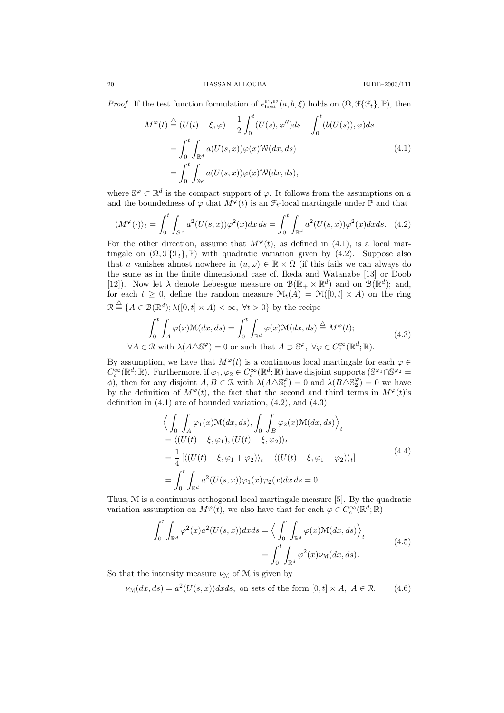*Proof.* If the test function formulation of  $e_{\text{heat}}^{\epsilon_1, \epsilon_2}(a, b, \xi)$  holds on  $(\Omega, \mathcal{F}\{\mathcal{F}_t\}, \mathbb{P})$ , then

$$
M^{\varphi}(t) \stackrel{\triangle}{=} (U(t) - \xi, \varphi) - \frac{1}{2} \int_0^t (U(s), \varphi'') ds - \int_0^t (b(U(s)), \varphi) ds
$$
  

$$
= \int_0^t \int_{\mathbb{R}^d} a(U(s, x)) \varphi(x) \mathcal{W}(dx, ds)
$$
  

$$
= \int_0^t \int_{\mathbb{S}^{\varphi}} a(U(s, x)) \varphi(x) \mathcal{W}(dx, ds),
$$
 (4.1)

where  $\mathbb{S}^{\varphi} \subset \mathbb{R}^d$  is the compact support of  $\varphi$ . It follows from the assumptions on a and the boundedness of  $\varphi$  that  $M^{\varphi}(t)$  is an  $\mathcal{F}_t$ -local martingale under  $\mathbb P$  and that

$$
\langle M^{\varphi}(\cdot)\rangle_t = \int_0^t \int_{S^{\varphi}} a^2(U(s, x))\varphi^2(x)dx ds = \int_0^t \int_{\mathbb{R}^d} a^2(U(s, x))\varphi^2(x)dx ds. \tag{4.2}
$$

For the other direction, assume that  $M^{\varphi}(t)$ , as defined in (4.1), is a local martingale on  $(\Omega, \mathcal{F}\{\mathcal{F}_t\}, \mathbb{P})$  with quadratic variation given by  $(4.2)$ . Suppose also that a vanishes almost nowhere in  $(u, \omega) \in \mathbb{R} \times \Omega$  (if this fails we can always do the same as in the finite dimensional case cf. Ikeda and Watanabe [13] or Doob [12]). Now let  $\lambda$  denote Lebesgue measure on  $\mathcal{B}(\mathbb{R}_+ \times \mathbb{R}^d)$  and on  $\mathcal{B}(\mathbb{R}^d)$ ; and, for each  $t \geq 0$ , define the random measure  $\mathcal{M}_t(A) = \mathcal{M}([0,t] \times A)$  on the ring  $\mathcal{R} \stackrel{\triangle}{=} \{A \in \mathcal{B}(\mathbb{R}^d); \lambda([0,t] \times A) < \infty, \forall t > 0\}$  by the recipe

$$
\int_0^t \int_A \varphi(x) \mathcal{M}(dx, ds) = \int_0^t \int_{\mathbb{R}^d} \varphi(x) \mathcal{M}(dx, ds) \stackrel{\triangle}{=} M^{\varphi}(t);
$$
\n
$$
\forall A \in \mathcal{R} \text{ with } \lambda(A \triangle \mathbb{S}^{\varphi}) = 0 \text{ or such that } A \supset \mathbb{S}^{\varphi}, \ \forall \varphi \in C_c^{\infty}(\mathbb{R}^d; \mathbb{R}).
$$
\n(4.3)

By assumption, we have that  $M^{\varphi}(t)$  is a continuous local martingale for each  $\varphi \in$  $C_c^{\infty}(\mathbb{R}^d;\mathbb{R})$ . Furthermore, if  $\varphi_1, \varphi_2 \in C_c^{\infty}(\mathbb{R}^d;\mathbb{R})$  have disjoint supports  $(\mathbb{S}^{\varphi_1} \cap \mathbb{S}^{\varphi_2} =$  $\phi$ ), then for any disjoint  $A, B \in \mathcal{R}$  with  $\lambda(A \triangle \mathbb{S}_1^{\varphi}) = 0$  and  $\lambda(B \triangle \mathbb{S}_2^{\varphi}) = 0$  we have by the definition of  $M^{\varphi}(t)$ , the fact that the second and third terms in  $M^{\varphi}(t)$ 's definition in  $(4.1)$  are of bounded variation,  $(4.2)$ , and  $(4.3)$ 

$$
\left\langle \int_{0}^{T} \int_{A} \varphi_{1}(x) \mathcal{M}(dx, ds), \int_{0}^{T} \int_{B} \varphi_{2}(x) \mathcal{M}(dx, ds) \right\rangle_{t}
$$
\n
$$
= \left\langle (U(t) - \xi, \varphi_{1}), (U(t) - \xi, \varphi_{2}) \right\rangle_{t}
$$
\n
$$
= \frac{1}{4} \left[ \left\langle (U(t) - \xi, \varphi_{1} + \varphi_{2}) \right\rangle_{t} - \left\langle (U(t) - \xi, \varphi_{1} - \varphi_{2}) \right\rangle_{t} \right]
$$
\n
$$
= \int_{0}^{t} \int_{\mathbb{R}^{d}} a^{2} (U(s, x)) \varphi_{1}(x) \varphi_{2}(x) dx ds = 0.
$$
\n(4.4)

Thus, M is a continuous orthogonal local martingale measure [5]. By the quadratic variation assumption on  $M^{\varphi}(t)$ , we also have that for each  $\varphi \in C_c^{\infty}(\mathbb{R}^d;\mathbb{R})$ 

$$
\int_0^t \int_{\mathbb{R}^d} \varphi^2(x) a^2 (U(s, x)) dx ds = \left\langle \int_0^{\cdot} \int_{\mathbb{R}^d} \varphi(x) \mathcal{M}(dx, ds) \right\rangle_t
$$
\n
$$
= \int_0^t \int_{\mathbb{R}^d} \varphi^2(x) \nu_{\mathcal{M}}(dx, ds).
$$
\n(4.5)

So that the intensity measure  $\nu_{\mathcal{M}}$  of M is given by

 $\nu_{\mathcal{M}}(dx, ds) = a^2(U(s, x))dxds$ , on sets of the form  $[0, t] \times A$ ,  $A \in \mathcal{R}$ . (4.6)